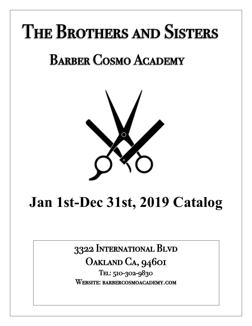# The Brothers and Sisters

## Barber Cosmo Academy



## **Jan 1st-Dec 31st, 2019 Catalog**

3322 International Blvd

OAKLAND CA, 94601<br>Tel: 510-302-9830

Website: barbercosmoacademy.com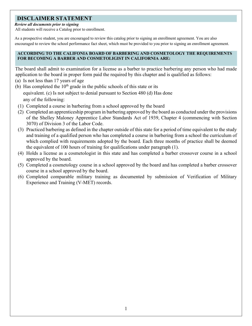## **DISCLAIMER STATEMENT**

## *Review all documents prior to signing*

All students will receive a Catalog prior to enrollment.

As a prospective student, you are encouraged to review this catalog prior to signing an enrollment agreement. You are also encouraged to review the school performance fact sheet, which must be provided to you prior to signing an enrollment agreement.

## **ACCORDING TO THE CALIFONIA BOARD OF BARBERING AND COSMETOLOGY THE REQUIREMENTS FOR BECOMING A BARBER AND COSMETOLIGIST IN CALIFORNIA ARE:**

The board shall admit to examination for a license as a barber to practice barbering any person who had made application to the board in proper form paid the required by this chapter and is qualified as follows:

- (a) Is not less than 17 years of age
- (b) Has completed the  $10<sup>th</sup>$  grade in the public schools of this state or its equivalent. (c) Is not subject to denial pursuant to Section 480 (d) Has done any of the following:
- (1) Completed a course in barbering from a school approved by the board
- (2) Completed an apprenticeship program in barbering approved by the board as conducted under the provisions of the Shelley Maloney Apprentice Labor Standards Act of 1939, Chapter 4 (commencing with Section 3070) of Division 3 of the Labor Code.
- (3) Practiced barbering as defined in the chapter outside of this state for a period of time equivalent to the study and training of a qualified person who has completed a course in barbering from a school the curriculum of which complied with requirements adopted by the board. Each three months of practice shall be deemed the equivalent of 100 hours of training for qualifications under paragraph (1).
- (4) Holds a license as a cosmetologist in this state and has completed a barber crossover course in a school approved by the board.
- (5) Completed a cosmetology course in a school approved by the board and has completed a barber crossover course in a school approved by the board.
- (6) Completed comparable military training as documented by submission of Verification of Military Experience and Training (V-MET) records.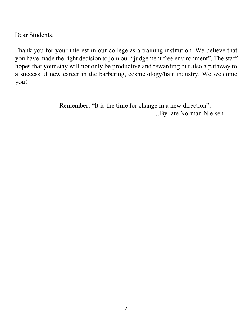Dear Students,

Thank you for your interest in our college as a training institution. We believe that you have made the right decision to join our "judgement free environment". The staff hopes that your stay will not only be productive and rewarding but also a pathway to a successful new career in the barbering, cosmetology/hair industry. We welcome you!

> Remember: "It is the time for change in a new direction". …By late Norman Nielsen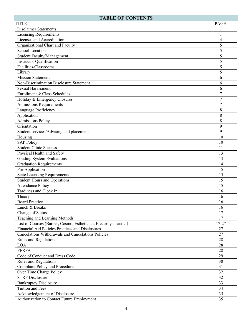## **TABLE OF CONTENTS**

| Disclaimer Statements<br><b>Licensing Requirements</b><br>$\mathbf{1}$<br>Licenses and Accreditation<br>$\overline{4}$<br>5<br>Organizational Chart and Faculty<br>5<br>School Location<br>5<br><b>Student Faculty/Management</b><br><b>Instructor Qualification</b><br>5<br>Facilities/Classrooms<br>5<br>5<br>Library<br><b>Mission Statement</b><br>6<br>Non-Discrimination Disclosure Statement<br>6<br><b>Sexual Harassment</b><br>6<br>$\overline{7}$<br>Enrollment & Class Schedules<br>$\overline{7}$<br>Holiday & Emergency Closures<br><b>Admissions Requirements</b><br>$\overline{7}$<br>Language Proficiency<br>8<br>Application<br>8<br><b>Admissions Policy</b><br>8<br>Orientation<br>9<br>Student services/Advising and placement<br>9<br>Housing<br>10<br><b>SAP Policy</b><br>10<br><b>Student Clinic Success</b><br>11<br>Physical Health and Safety<br>13<br>13<br>Grading System Evaluations<br><b>Graduation Requirements</b><br>14<br>Pre-Application<br>15<br><b>State Licensing Requirements</b><br>15<br><b>Student Hours and Operations</b><br>15<br><b>Attendance Policy</b><br>15<br>Tardiness and Clock In<br>16<br>Theory<br>16<br><b>Board Practice</b><br>16<br>Lunch & Breaks<br>16<br>Change of Status<br>17<br>Teaching and Learning Methods<br>17<br>List of Courses (Barber, Cosmo, Esthetician, Electrolysis act)<br>17-27<br>Financial Aid Policies Practices and Disclosures<br>27<br>Cancelations Withdrawals and Cancelations Policies<br>27<br>Rules and Regulations<br>28<br>28<br>LOA<br>28<br><b>FERPA</b><br>29<br>Code of Conduct and Dress Code<br>Rules and Regulations<br>30<br><b>Complaint Policy and Procedures</b><br>31<br>32<br>Over Time Charge Policy<br><b>STRF</b> Disclosure<br>32<br><b>Bankruptcy Disclosure</b><br>33<br>Tuition and Fees<br>34 | <b>TITLE</b> | PAGE |
|--------------------------------------------------------------------------------------------------------------------------------------------------------------------------------------------------------------------------------------------------------------------------------------------------------------------------------------------------------------------------------------------------------------------------------------------------------------------------------------------------------------------------------------------------------------------------------------------------------------------------------------------------------------------------------------------------------------------------------------------------------------------------------------------------------------------------------------------------------------------------------------------------------------------------------------------------------------------------------------------------------------------------------------------------------------------------------------------------------------------------------------------------------------------------------------------------------------------------------------------------------------------------------------------------------------------------------------------------------------------------------------------------------------------------------------------------------------------------------------------------------------------------------------------------------------------------------------------------------------------------------------------------------------------------------------------------------------------------------------------------------------------------------------------------------------------|--------------|------|
|                                                                                                                                                                                                                                                                                                                                                                                                                                                                                                                                                                                                                                                                                                                                                                                                                                                                                                                                                                                                                                                                                                                                                                                                                                                                                                                                                                                                                                                                                                                                                                                                                                                                                                                                                                                                                    |              |      |
|                                                                                                                                                                                                                                                                                                                                                                                                                                                                                                                                                                                                                                                                                                                                                                                                                                                                                                                                                                                                                                                                                                                                                                                                                                                                                                                                                                                                                                                                                                                                                                                                                                                                                                                                                                                                                    |              |      |
|                                                                                                                                                                                                                                                                                                                                                                                                                                                                                                                                                                                                                                                                                                                                                                                                                                                                                                                                                                                                                                                                                                                                                                                                                                                                                                                                                                                                                                                                                                                                                                                                                                                                                                                                                                                                                    |              |      |
|                                                                                                                                                                                                                                                                                                                                                                                                                                                                                                                                                                                                                                                                                                                                                                                                                                                                                                                                                                                                                                                                                                                                                                                                                                                                                                                                                                                                                                                                                                                                                                                                                                                                                                                                                                                                                    |              |      |
|                                                                                                                                                                                                                                                                                                                                                                                                                                                                                                                                                                                                                                                                                                                                                                                                                                                                                                                                                                                                                                                                                                                                                                                                                                                                                                                                                                                                                                                                                                                                                                                                                                                                                                                                                                                                                    |              |      |
|                                                                                                                                                                                                                                                                                                                                                                                                                                                                                                                                                                                                                                                                                                                                                                                                                                                                                                                                                                                                                                                                                                                                                                                                                                                                                                                                                                                                                                                                                                                                                                                                                                                                                                                                                                                                                    |              |      |
|                                                                                                                                                                                                                                                                                                                                                                                                                                                                                                                                                                                                                                                                                                                                                                                                                                                                                                                                                                                                                                                                                                                                                                                                                                                                                                                                                                                                                                                                                                                                                                                                                                                                                                                                                                                                                    |              |      |
|                                                                                                                                                                                                                                                                                                                                                                                                                                                                                                                                                                                                                                                                                                                                                                                                                                                                                                                                                                                                                                                                                                                                                                                                                                                                                                                                                                                                                                                                                                                                                                                                                                                                                                                                                                                                                    |              |      |
|                                                                                                                                                                                                                                                                                                                                                                                                                                                                                                                                                                                                                                                                                                                                                                                                                                                                                                                                                                                                                                                                                                                                                                                                                                                                                                                                                                                                                                                                                                                                                                                                                                                                                                                                                                                                                    |              |      |
|                                                                                                                                                                                                                                                                                                                                                                                                                                                                                                                                                                                                                                                                                                                                                                                                                                                                                                                                                                                                                                                                                                                                                                                                                                                                                                                                                                                                                                                                                                                                                                                                                                                                                                                                                                                                                    |              |      |
|                                                                                                                                                                                                                                                                                                                                                                                                                                                                                                                                                                                                                                                                                                                                                                                                                                                                                                                                                                                                                                                                                                                                                                                                                                                                                                                                                                                                                                                                                                                                                                                                                                                                                                                                                                                                                    |              |      |
|                                                                                                                                                                                                                                                                                                                                                                                                                                                                                                                                                                                                                                                                                                                                                                                                                                                                                                                                                                                                                                                                                                                                                                                                                                                                                                                                                                                                                                                                                                                                                                                                                                                                                                                                                                                                                    |              |      |
|                                                                                                                                                                                                                                                                                                                                                                                                                                                                                                                                                                                                                                                                                                                                                                                                                                                                                                                                                                                                                                                                                                                                                                                                                                                                                                                                                                                                                                                                                                                                                                                                                                                                                                                                                                                                                    |              |      |
|                                                                                                                                                                                                                                                                                                                                                                                                                                                                                                                                                                                                                                                                                                                                                                                                                                                                                                                                                                                                                                                                                                                                                                                                                                                                                                                                                                                                                                                                                                                                                                                                                                                                                                                                                                                                                    |              |      |
|                                                                                                                                                                                                                                                                                                                                                                                                                                                                                                                                                                                                                                                                                                                                                                                                                                                                                                                                                                                                                                                                                                                                                                                                                                                                                                                                                                                                                                                                                                                                                                                                                                                                                                                                                                                                                    |              |      |
|                                                                                                                                                                                                                                                                                                                                                                                                                                                                                                                                                                                                                                                                                                                                                                                                                                                                                                                                                                                                                                                                                                                                                                                                                                                                                                                                                                                                                                                                                                                                                                                                                                                                                                                                                                                                                    |              |      |
|                                                                                                                                                                                                                                                                                                                                                                                                                                                                                                                                                                                                                                                                                                                                                                                                                                                                                                                                                                                                                                                                                                                                                                                                                                                                                                                                                                                                                                                                                                                                                                                                                                                                                                                                                                                                                    |              |      |
|                                                                                                                                                                                                                                                                                                                                                                                                                                                                                                                                                                                                                                                                                                                                                                                                                                                                                                                                                                                                                                                                                                                                                                                                                                                                                                                                                                                                                                                                                                                                                                                                                                                                                                                                                                                                                    |              |      |
|                                                                                                                                                                                                                                                                                                                                                                                                                                                                                                                                                                                                                                                                                                                                                                                                                                                                                                                                                                                                                                                                                                                                                                                                                                                                                                                                                                                                                                                                                                                                                                                                                                                                                                                                                                                                                    |              |      |
|                                                                                                                                                                                                                                                                                                                                                                                                                                                                                                                                                                                                                                                                                                                                                                                                                                                                                                                                                                                                                                                                                                                                                                                                                                                                                                                                                                                                                                                                                                                                                                                                                                                                                                                                                                                                                    |              |      |
|                                                                                                                                                                                                                                                                                                                                                                                                                                                                                                                                                                                                                                                                                                                                                                                                                                                                                                                                                                                                                                                                                                                                                                                                                                                                                                                                                                                                                                                                                                                                                                                                                                                                                                                                                                                                                    |              |      |
|                                                                                                                                                                                                                                                                                                                                                                                                                                                                                                                                                                                                                                                                                                                                                                                                                                                                                                                                                                                                                                                                                                                                                                                                                                                                                                                                                                                                                                                                                                                                                                                                                                                                                                                                                                                                                    |              |      |
|                                                                                                                                                                                                                                                                                                                                                                                                                                                                                                                                                                                                                                                                                                                                                                                                                                                                                                                                                                                                                                                                                                                                                                                                                                                                                                                                                                                                                                                                                                                                                                                                                                                                                                                                                                                                                    |              |      |
|                                                                                                                                                                                                                                                                                                                                                                                                                                                                                                                                                                                                                                                                                                                                                                                                                                                                                                                                                                                                                                                                                                                                                                                                                                                                                                                                                                                                                                                                                                                                                                                                                                                                                                                                                                                                                    |              |      |
|                                                                                                                                                                                                                                                                                                                                                                                                                                                                                                                                                                                                                                                                                                                                                                                                                                                                                                                                                                                                                                                                                                                                                                                                                                                                                                                                                                                                                                                                                                                                                                                                                                                                                                                                                                                                                    |              |      |
|                                                                                                                                                                                                                                                                                                                                                                                                                                                                                                                                                                                                                                                                                                                                                                                                                                                                                                                                                                                                                                                                                                                                                                                                                                                                                                                                                                                                                                                                                                                                                                                                                                                                                                                                                                                                                    |              |      |
|                                                                                                                                                                                                                                                                                                                                                                                                                                                                                                                                                                                                                                                                                                                                                                                                                                                                                                                                                                                                                                                                                                                                                                                                                                                                                                                                                                                                                                                                                                                                                                                                                                                                                                                                                                                                                    |              |      |
|                                                                                                                                                                                                                                                                                                                                                                                                                                                                                                                                                                                                                                                                                                                                                                                                                                                                                                                                                                                                                                                                                                                                                                                                                                                                                                                                                                                                                                                                                                                                                                                                                                                                                                                                                                                                                    |              |      |
|                                                                                                                                                                                                                                                                                                                                                                                                                                                                                                                                                                                                                                                                                                                                                                                                                                                                                                                                                                                                                                                                                                                                                                                                                                                                                                                                                                                                                                                                                                                                                                                                                                                                                                                                                                                                                    |              |      |
|                                                                                                                                                                                                                                                                                                                                                                                                                                                                                                                                                                                                                                                                                                                                                                                                                                                                                                                                                                                                                                                                                                                                                                                                                                                                                                                                                                                                                                                                                                                                                                                                                                                                                                                                                                                                                    |              |      |
|                                                                                                                                                                                                                                                                                                                                                                                                                                                                                                                                                                                                                                                                                                                                                                                                                                                                                                                                                                                                                                                                                                                                                                                                                                                                                                                                                                                                                                                                                                                                                                                                                                                                                                                                                                                                                    |              |      |
|                                                                                                                                                                                                                                                                                                                                                                                                                                                                                                                                                                                                                                                                                                                                                                                                                                                                                                                                                                                                                                                                                                                                                                                                                                                                                                                                                                                                                                                                                                                                                                                                                                                                                                                                                                                                                    |              |      |
|                                                                                                                                                                                                                                                                                                                                                                                                                                                                                                                                                                                                                                                                                                                                                                                                                                                                                                                                                                                                                                                                                                                                                                                                                                                                                                                                                                                                                                                                                                                                                                                                                                                                                                                                                                                                                    |              |      |
|                                                                                                                                                                                                                                                                                                                                                                                                                                                                                                                                                                                                                                                                                                                                                                                                                                                                                                                                                                                                                                                                                                                                                                                                                                                                                                                                                                                                                                                                                                                                                                                                                                                                                                                                                                                                                    |              |      |
|                                                                                                                                                                                                                                                                                                                                                                                                                                                                                                                                                                                                                                                                                                                                                                                                                                                                                                                                                                                                                                                                                                                                                                                                                                                                                                                                                                                                                                                                                                                                                                                                                                                                                                                                                                                                                    |              |      |
|                                                                                                                                                                                                                                                                                                                                                                                                                                                                                                                                                                                                                                                                                                                                                                                                                                                                                                                                                                                                                                                                                                                                                                                                                                                                                                                                                                                                                                                                                                                                                                                                                                                                                                                                                                                                                    |              |      |
|                                                                                                                                                                                                                                                                                                                                                                                                                                                                                                                                                                                                                                                                                                                                                                                                                                                                                                                                                                                                                                                                                                                                                                                                                                                                                                                                                                                                                                                                                                                                                                                                                                                                                                                                                                                                                    |              |      |
|                                                                                                                                                                                                                                                                                                                                                                                                                                                                                                                                                                                                                                                                                                                                                                                                                                                                                                                                                                                                                                                                                                                                                                                                                                                                                                                                                                                                                                                                                                                                                                                                                                                                                                                                                                                                                    |              |      |
|                                                                                                                                                                                                                                                                                                                                                                                                                                                                                                                                                                                                                                                                                                                                                                                                                                                                                                                                                                                                                                                                                                                                                                                                                                                                                                                                                                                                                                                                                                                                                                                                                                                                                                                                                                                                                    |              |      |
|                                                                                                                                                                                                                                                                                                                                                                                                                                                                                                                                                                                                                                                                                                                                                                                                                                                                                                                                                                                                                                                                                                                                                                                                                                                                                                                                                                                                                                                                                                                                                                                                                                                                                                                                                                                                                    |              |      |
|                                                                                                                                                                                                                                                                                                                                                                                                                                                                                                                                                                                                                                                                                                                                                                                                                                                                                                                                                                                                                                                                                                                                                                                                                                                                                                                                                                                                                                                                                                                                                                                                                                                                                                                                                                                                                    |              |      |
|                                                                                                                                                                                                                                                                                                                                                                                                                                                                                                                                                                                                                                                                                                                                                                                                                                                                                                                                                                                                                                                                                                                                                                                                                                                                                                                                                                                                                                                                                                                                                                                                                                                                                                                                                                                                                    |              |      |
|                                                                                                                                                                                                                                                                                                                                                                                                                                                                                                                                                                                                                                                                                                                                                                                                                                                                                                                                                                                                                                                                                                                                                                                                                                                                                                                                                                                                                                                                                                                                                                                                                                                                                                                                                                                                                    |              |      |
|                                                                                                                                                                                                                                                                                                                                                                                                                                                                                                                                                                                                                                                                                                                                                                                                                                                                                                                                                                                                                                                                                                                                                                                                                                                                                                                                                                                                                                                                                                                                                                                                                                                                                                                                                                                                                    |              |      |
|                                                                                                                                                                                                                                                                                                                                                                                                                                                                                                                                                                                                                                                                                                                                                                                                                                                                                                                                                                                                                                                                                                                                                                                                                                                                                                                                                                                                                                                                                                                                                                                                                                                                                                                                                                                                                    |              |      |
|                                                                                                                                                                                                                                                                                                                                                                                                                                                                                                                                                                                                                                                                                                                                                                                                                                                                                                                                                                                                                                                                                                                                                                                                                                                                                                                                                                                                                                                                                                                                                                                                                                                                                                                                                                                                                    |              |      |
|                                                                                                                                                                                                                                                                                                                                                                                                                                                                                                                                                                                                                                                                                                                                                                                                                                                                                                                                                                                                                                                                                                                                                                                                                                                                                                                                                                                                                                                                                                                                                                                                                                                                                                                                                                                                                    |              |      |
|                                                                                                                                                                                                                                                                                                                                                                                                                                                                                                                                                                                                                                                                                                                                                                                                                                                                                                                                                                                                                                                                                                                                                                                                                                                                                                                                                                                                                                                                                                                                                                                                                                                                                                                                                                                                                    |              |      |
|                                                                                                                                                                                                                                                                                                                                                                                                                                                                                                                                                                                                                                                                                                                                                                                                                                                                                                                                                                                                                                                                                                                                                                                                                                                                                                                                                                                                                                                                                                                                                                                                                                                                                                                                                                                                                    |              |      |
|                                                                                                                                                                                                                                                                                                                                                                                                                                                                                                                                                                                                                                                                                                                                                                                                                                                                                                                                                                                                                                                                                                                                                                                                                                                                                                                                                                                                                                                                                                                                                                                                                                                                                                                                                                                                                    |              |      |
| 35<br>Acknowledgement of Disclosure                                                                                                                                                                                                                                                                                                                                                                                                                                                                                                                                                                                                                                                                                                                                                                                                                                                                                                                                                                                                                                                                                                                                                                                                                                                                                                                                                                                                                                                                                                                                                                                                                                                                                                                                                                                |              |      |
| Authorization to Contact Future Employment<br>35                                                                                                                                                                                                                                                                                                                                                                                                                                                                                                                                                                                                                                                                                                                                                                                                                                                                                                                                                                                                                                                                                                                                                                                                                                                                                                                                                                                                                                                                                                                                                                                                                                                                                                                                                                   |              |      |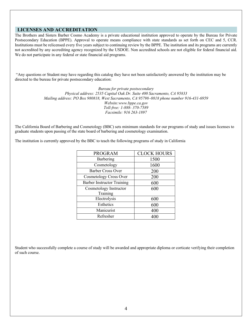## **LICENSES AND ACCREDITATION**

The Brothers and Sisters Barber Cosmo Academy is a private educational institution approved to operate by the Bureau for Private Postsecondary Education (BPPE). Approval to operate means compliance with state standards as set forth on CEC and 5, CCR. Institutions must be relicensed every five years subject to continuing review by the BPPE. The institution and its programs are currently not accredited by any accrediting agency recognized by the USDOE. Non accredited schools are not eligible for federal financial aid. We do not participate in any federal or state financial aid programs.

"Any questions or Student may have regarding this catalog they have not been satisfactorily answered by the institution may be directed to the bureau for private postsecondary education:

> *Bureau for private postsecondary Physical address: 2535 Capital Oak Dr. Suite 400 Sacramento, CA 95833 Mailing address: PO Box 980818, West Sacramento, CA 95798–0818 phone number 916-431-6959 Website:www.bppe.ca.gov Toll-free: 1-888- 370-7589 Facsimile: 916 263-1897*

The California Board of Barbering and Cosmetology (BBC) sets minimum standards for our programs of study and issues licenses to graduate students upon passing of the state board of barbering and cosmetology examination.

The institution is currently approved by the BBC to teach the following programs of study in California

| <b>PROGRAM</b>                    | <b>CLOCK HOURS</b> |
|-----------------------------------|--------------------|
| Barbering                         | 1500               |
| Cosmetology                       | 1600               |
| Barber Cross Over                 | 200                |
| Cosmetology Cross Over            | 200                |
| <b>Barber Instructor Training</b> | 600                |
| Cosmetology Instructor            | 600                |
| Training                          |                    |
| Electrolysis                      | 600                |
| Esthetics                         | 600                |
| Manicurist                        | 400                |
| Refresher                         | 400                |

Student who successfully complete a course of study will be awarded and appropriate diploma or corticate verifying their completion of such course.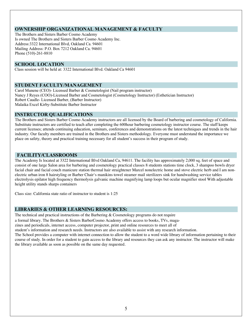## **OWNERSHIP ORGANIZATIONAL MANAGEMENT & FACULTY**

The Brothers and Sisters Barber Cosmo Academy Is owned The Brothers and Sisters Barber Cosmo Academy Inc. Address:3322 International Blvd, Oakland Ca. 94601 Mailing Address: P.O. Box 7212 Oakland Ca. 94601 Phone (510)-261-8810

## **SCHOOL LOCATION**

Class session will be held at: 3322 International Blvd. Oakland Ca 94601

#### **STUDENT FACULTY/MANAGEMENT**

Carol Munene (CEO)- Licensed Barber & Cosmetologist (Nail program instructor) Nancy J Reyes (COO)-Licensed Barber and Cosmetologist (Cosmetology Instructor) (Esthetician Instructor) Robert Caudle- Licensed Barber, (Barber Instructor) Malaika Excel Kirby-Substitute Barber Instructor

## **INSTRUCTOR QUALIFICATIONS**

The Brothers and Sisters Barber Cosmo Academy instructors are all licensed by the Board of barbering and cosmetology of California. Substitute instructors are certified to teach after completing the 600hour barbering cosmetology instructor course. The staff keeps current licenses; attends continuing education, seminars, conferences and demonstrations on the latest techniques and trends in the hair industry. Our faculty members are trained in the Brothers and Sisters methodology. Everyone must understand the importance we place on safety, theory and practical training necessary for all student's success in their program of study.

## **FACILITY/CLASSROOMS**

The Academy Is located at 3322 International Blvd Oakland Ca, 94611. The facility has approximately 2,000 sq. feet of space and consist of one large Salon area for barbering and cosmetology practical classes 8 students stations time clock, 3 shampoo bowls dryer facial chair and facial couch manicure station thermal hair straightener Marcel nonelectric home and stove electric herb and I am nonelectric urban iron 8 hairstyling or Barber Chair's manikins towel steamer mail sterilizers sink for handwashing service tables electrolysis epilator high frequency thermolysis galvanic machine magnifying lamp loops but ocular magnifier stool With adjustable height utility stands sharps containers

Class size: California state ratio of instructor to student is 1:25

## **LIBRARIES & OTHER LEARNING RESOURCES:**

The technical and practical instructions of the Barbering  $\&$  Cosmetology programs do not require

a formal library. The Brothers & Sisters BarberCosmo Academy offers access to books, TVs, maga-

zines and periodicals, internet access, computer projector, print and online resources to meet all of

student's information and research needs. Instructors are also available to assist with any research information.

The School provides a computer with internet connection to allow the student to a word wide library of information pertaining to their course of study. In order for a student to gain access to the library and resources they can ask any instructor. The instructor will make the library available as soon as possible on the same day requested.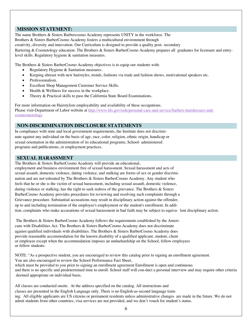## **MISSION STATEMENT:**

The name Brothers & Sisters Barbercosmo Academy represents UNITY in the workforce. The Brothers & Sisters BarberCosmo Academy fosters a multicultural environment through

creativity, diversity and innovation. Our Curriculum is designed to provide a quality post- secondary

Bartering & Cosmetology education. The Brothers & Sisters BarberCosmo Academy prepares all graduates for licensure and entrylevel skills. Regulatory hygiene & sanitation measures.

The Brothers & Sisters BarberCosmo Academy objectives is to equip our students with:

- Regulatory Hygiene & Sanitation measures.
- Keeping abreast with new hairstyles, trends, fashions via trade and fashion shows, motivational speakers etc.
- Professionalism.
- Excellent Shop Management Customer Service Skills.
- Health & Wellness for success in the workplace.
- Theory & Practical skills to pass the California State Board Examinations.

For more information on Hairstylists employability and availability of these occupations. Please visit-Department of Labor website at http://www.bls.gov/ooh/personal-care-and-service/barbers-hairdressers-andcosmesmetology

## **NON-DISCRIMINATION DISCLOSURE STATEMENTS**

In compliance with state and local government requirements, the Institute does not discriminate against any individual on the basis of age, race, color, religion, ethnic origin, handicap or sexual orientation in the administration of its educational programs, School- administered programs and publications, or employment practices.

#### **SEXUAL HARASSMENT**

The Brothers & Sisters BarberCosmo Academy will provide an educational, employment and business environment free of sexual harassment. Sexual harassment and acts of sexual assault, domestic violence, dating violence, and stalking are forms of sex or gender discrimination and are not tolerated by The Brothers & Sisters BarberCosmo Academy. Any student who feels that he or she is the victim of sexual harassment, including sexual assault, domestic violence, dating violence or stalking, has the right to seek redress of the grievance. The Brothers & Sisters BarberCosmo Academy provides procedures for reviewing and resolving such complaints through a Grievance procedure. Substantial accusations may result in disciplinary action against the offender, up to and including termination of the employee's employment or the student's enrollment. In addition, complaints who make accusations of sexual harassment in bad faith may be subject to equiva-lent disciplinary action.

The Brothers & Sisters BarberCosmo Academy follows the requirements established by the Americans with Disabilities Act. The Brothers & Sisters BarberCosmo Academy does not discriminate against qualified individuals with disabilities. The Brothers & Sisters BarberCosmo Academy does provide reasonable accommodation for the known disability of a qualified applicant, student, client or employee except when the accommodation imposes an unduehardship on the School, fellow employees or fellow students.

NOTE: "As a prospective student, you are encouraged to review this catalog prior to signing an enrollment agreement. You are also encouraged to review the School Performance Fact Sheet, which must be provided to you prior to signing an enrollment agreement Enrollment is open and continuous and there is no specific and predetermined time to enroll. School staff will con-duct a personal interview and may require other criteria deemed appropriate on individual basis.

All classes are conducted onsite. At the address specified on the catalog. All instructions and classes are presented in the English Language only. There is no English-as-second language training. All eligible applicants are US citizens or permanent residents unless administrative changes are made in the future. We do not admit students from other countries, visa services are not provided, and we don't vouch for student's status.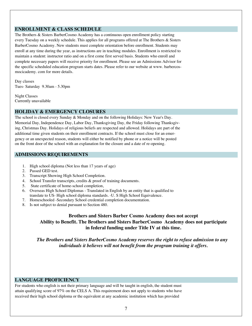## **ENROLLMENT & CLASS SCHEDULE**

The Brothers & Sisters BarberCosmo Academy has a continuous open enrollment policy starting every Tuesday on a weekly schedule. This applies for all programs offered at The Brothers & Sisters BarberCosmo Academy. New students must complete orientation before enrollment. Students may enroll at any time during the year, as instructions are in teaching modules. Enrollment is restricted to maintain a student: instructor ratio and on a first come first served basis. Students who enroll and complete necessary papers will receive priority for enrollment. Please see an Admissions Advisor for the specific scheduled education program starts dates. Please refer to our website at www. barbercosmocicademy. com for more details.

Day classes Tues- Saturday 9.30am - 5.30pm

Night Classes Currently unavailable

#### **HOLIDAY & EMERGENCY CLOSURES**

The school is closed every Sunday & Monday and on the following Holidays: New Year's Day. Memorial Day, Independence Day, Labor Day, Thanksgiving Day, the Friday following Thanksgiving, Christmas Day. Holidays of religious beliefs are respected and allowed. Holidays are part of the additional time given students on their enrollment contracts. If the school must close for an emergency or an unexpected reason, students will either be notified by phone or a notice will be posted on the front door of the school with an explanation for the closure and a date of re-opening.

#### **ADMISSIONS REQUIREMENTS**

- 1. High school diploma (Not less than 17 years of age)
- 2. Passed GED test.
- 3. Transcript Showing High School Completion.
- 4. School Transfer transcripts, credits & proof of training documents.
- 5. State certificate of home-school completion,
- 6. Overseas High School Diplomas Translated in English by an entity that is qualified to translate to US- High school diploma standards. -U. S High School Equivalence.
- 7. Homeschooled -Secondary School credential completion documentation.
- 8. Is not subject to denial pursuant to Section 480.

## **Brothers and Sisters Barber Cosmo Academy does not accept Ability to Benefit. The Brothers and Sisters BarberCosmo Academy does not participate in federal funding under Title IV at this time.**

*The Brothers and Sisters BarberCosmo Academy reserves the right to refuse admission to any individuals it believes will not benefit from the program training it offers.*

#### **LANGUAGE PROFICIENCY**

For students who english is not their primary language and will be taught in english, the student must attain qualifying score of 97% on the CELS A. This requirement does not apply to students who have received their high school diploma or the equivalent at any academic institution which has provided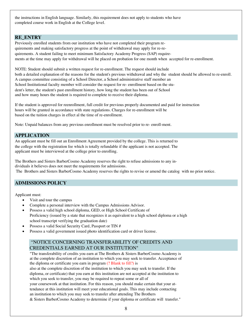the instructions in English language. Similarly, this requirement does not apply to students who have completed course work in English at the College level.

## **RE\_ENTRY**

Previously enrolled students from our institution who have not completed their program requirements and making satisfactory progress at the point of withdrawal may apply for re-requirements. A student failing to meet minimum Satisfactory Academy Progress (SAP) requirements at the time may apply for withdrawal will he placed on probation for one month when accepted for re-enrollment.

NOTE: Student should submit a written request for re-enrollment. The request should include both a detailed explanation of the reasons for the student's previous withdrawal and why the student should be allowed to re-enroll. A campus committee consisting of a School Director, a School administrative staff member an School Institutional faculty member will consider the request for re- enrollment based on the student's letter, the student's past enrollment history, how long the student has been out of School and how many hours the student is required to complete to receive their diploma.

If the student is approved for reenrollment, full credit for previous properly documented and paid for instruction hours will be granted in accordance with state regulations. Charges for re-enrollment will be based on the tuition charges in effect al the time of re-enrollment.

Note: Unpaid balances from any previous enrollment must be resolved prior to re- enroll-ment.

## **APPLICATION**

An applicant must be fill out an Enrollment Agreement provided by the college. This is returned to the college with the registration fee which is totally refundable if the applicant is not accepted. The applicant must be interviewed at the college prior to enrolling.

The Brothers and Sisters BarberCosmo Academy reserves the right to refuse admissions to any individuals it believes does not meet the requirements for admissions. The Brothers and Sisters BarberCosmo Academy reserves the rights to revise or amend the catalog with no prior notice.

## **ADMISSIONS POLICY**

Applicant must:

- Visit and tour the campus
- Complete a personal interview with the Campus Admissions Advisor.
- Possess a valid high school diploma, GED, or High School Certificate of Proficiency (issued by a state that recognizes it as equivalent to a high school diploma or a high school transcript verifying the graduation date)
- Possess a valid Social Security Card, Passport or TIN #
- Possess a valid government issued photo identification card or driver license.

## "NOTICE CONCERNING TRANSFERABILITY OF CREDITS AND CREDENTIALS EARNED AT OUR INSTITUTION"

"The transferability of credits you earn at The Brothers & Sisters BarberCosmo Academy is at the complete discretion of an institution to which you may seek to transfer. Acceptance of the diploma or certificate you earn in program (? Blank to fill?) is also at the complete discretion of the institution to which you may seek to transfer. If the diploma, or certificate) that you earn at this institution are not accepted at the institution to which you seek to transfer, you may be required to repeat some or all of your coursework at that institution. For this reason, you should make certain that your attendance at this institution will meet your educational goals. This may include contacting an institution to which you may seek to transfer after attending The Brothers & Sisters BarberCosmo Academy to determine if your diploma or certificate will transfer."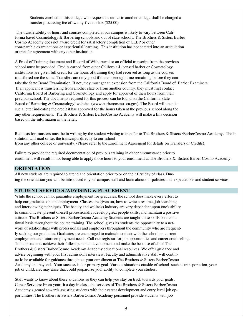Students enrolled in this college who request a transfer to another college shall be charged a transfer processing fee of twenty-five dollars (\$25.00)

The transferability of hours and courses completed at our campus is likely to vary between California based Cosmetology & Barbering schools and out of state schools. The Brothers & Sisters Barber Cosmo Academy does not award credit for satisfactory completion of CLEP or other com-parable examinations or experiential learning. This institution has not entered into an articulation or transfer agreement with any other institution.

A Proof of Training document and Record of Withdrawal or an official transcript from the previous school must be provided. Credits earned from other California-Licensed barber or Cosmetology institutions are given full credit for the hours of training they had received as long as the courses transferred are the same. Transfers are only good if there is enough time remaining before they can take the State Board Examination. If not, they must get an extension from the California Board of Barber Examiners. If an applicant is transferring from another slate or from another country, they must first contact California Board of Barbering and Cosmetology and apply for approval of their hours from their previous school. The documents required for this process can be found on the California State Board of Barbering & Cosmetology' website, (www.barbercosmo-.ca.gov). The Board will then issue a letter indicating the credit it has approved for the hours taken at the previous school along the any other requirements. The Brothers & Sisters BarberCosmo Academy will make a fina decision based on the information in the letter.

Requests for transfers must be in writing by the student wishing to transfer to The Brothers & Sisters \BarberCosmo Academy. The in stitution will mail or fax the transcripts directly to our school from any other college or university. (Please refer to the Enrollment Agreement for details on Transfers or Credits).

Failure to provide the required documentation of previous training in either circumstance prior to enrollment will result in not being able to apply those hours to your enrollment at The Brothers & Sisters Barber Cosmo Academy.

## **ORIENTATION**

All new students are required to attend and orientation prior to or on their first day of class. During the orientation you will be introduced to your campus staff and learn about our policies and expectations and student services.

## **STUDENT SERVICES /ADVISING & PLACEMENT**

While the school cannot guarantee employment for graduates, the school does make every effort to help our graduates obtain employment. Classes are given on, how to write a resume, job searching and interviewing techniques. The beauty and wellness industry are very dependent upon one's ability to communicate, present oneself professionally, develop great people skills, and maintain a positive attitude. The Brothers & Sisters BarberCosmo Academy Students are taught these skills on a continual basis throughout the course training. The school gives its students the opportunity to a network of relationships with professionals and employers throughout the community who are frequently seeking our graduates. Graduates are encouraged to maintain contact with the school on current employment and future employment needs. Call our registrar for job opportunities and career counseling. To help students achieve their fullest personal development and make the best use of all of The Brothers & Sisters BarberCosmo Academy Academy educational resources. We offer guidance and advice beginning with your first admissions interview. Faculty and administrative staff will continue Io be available for guidance throughout your enrollment at The Brothers & Sisters BarberCosmo Academy and beyond. Your success is our primary goal. Various situations outside of school, such as transportation, your job or childcare, may arise that could jeopardize your ability to complete your studies.

Staff wants to know about these situations so they can help you stay on track towards your goals. Career Services: From your first day in class, the services of The Brothers & Sisters BarberCosmo Academy s geared towards assisting students with their career development and entry level job opportunities. The Brothers & Sisters BarberCosmo Academy personnel provide students with job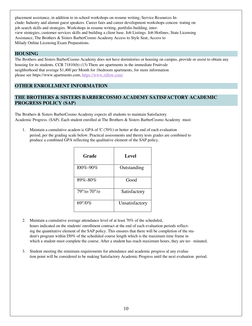placement assistance, in addition to in-school workshops on resume writing, Service Resources Include: Industry and alumni guest speakers. Career fairs and career development workshops concen trating on job search skills and strategies. Workshops in resume writing, portfolio building, interview strategies, customer services skills and building a client base. Job Listings. Job Hotlines, State Licensing Assistance, The Brothers & Sisters BarberCosmo Academy Access to Style Seat, Access to Milady Online Licensing Exam Preparations.

## **HOUSING**

The Brothers and Sisters BarberCosmo Academy does not have dormitories or housing on campus, provide or assist to obtain any housing for its students. CCR 71810(b) (13) There are apartments in the immediate Fruitvale neighborhood that average \$1,400 per Month for 1bedroom apartments, for more information please see https://www.apartments.com, https://www.zillow.com/

## **OTHER ENROLLMENT INFORMATION**

## **THE BROTHERS & SISTERS BARBERCOSMO ACADEMY SATISFACTORY ACADEMIC PROGRESS POLICY (SAP)**

The Brothers & Sisters BarberCosmo Academy expects all students to maintain Satisfactory Academic Progress. (SAP). Each student enrolled at The Brothers & Sisters BarberCosmo Academy must:

1. Maintain a cumulative academ ic GPA of 'C (70%) or better at the end of each evaluation period, per the grading scale below. Practical assessments and theory tests grades are combined to produce a combined GPA reflecting the qualitative element of the SAP policy.

| Grade                         | Level          |
|-------------------------------|----------------|
| $100\% - 90\%$                | Outstanding    |
| $89\% - 80\%$                 | Good           |
| $79^{\circ}/0 - 70^{\circ}/0$ | Satisfactory   |
| $69^{\circ}/0\%$              | Unsatisfactory |

- 2. Maintain a cumulative average attendance level of at least 70% of the scheduled, hours indicated on the students' enrollment contract at the end of each evaluation periods reflecting the quantitative element of the SAP policy. This ensures that there will be completion of the student's program within I50% of the scheduled course length which is the maximum time frame in which a student must complete the course. After a student has reach maximum hours, they are ter- minated.
- 3. Student meeting the minimum requirements for attendance and academic progress al any evaluation point will be considered to be making Satisfactory Academic Progress until the next evaluation period.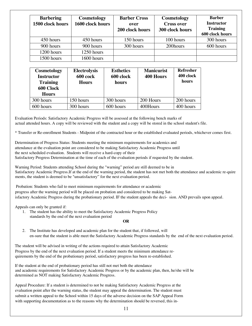| <b>Barbering</b><br>1500 clock hours | Cosmetology<br>1600 clock hours | <b>Barber Cross</b><br>over<br>200 clock hours | Cosmetology<br><b>Cross over</b><br>300 clock hours | <b>Barber</b><br><b>Instructor</b><br><b>Training</b><br>600 clock hours |
|--------------------------------------|---------------------------------|------------------------------------------------|-----------------------------------------------------|--------------------------------------------------------------------------|
| 450 hours                            | 450 hours                       | 150 hours                                      | 100 hours                                           | 300 hours                                                                |
| 900 hours                            | 900 hours                       | 300 hours                                      | 200hours                                            | 600 hours                                                                |
| 1200 hours                           | 1250 hours                      |                                                |                                                     |                                                                          |
| 1500 hours                           | 1600 hours                      |                                                |                                                     |                                                                          |

| Cosmetology<br><b>Instructor</b><br><b>Training</b><br>600 Clock<br><b>Hours</b> | <b>Electrolysis</b><br>600 cock<br><b>Hours</b> | <b>Esthetics</b><br>600 clock<br>hours | <b>Manicurist</b><br><b>400 Hours</b> | <b>Refresher</b><br>400 clock<br>hours |
|----------------------------------------------------------------------------------|-------------------------------------------------|----------------------------------------|---------------------------------------|----------------------------------------|
| 300 hours                                                                        | 150 hours                                       | 300 hours                              | 200 Hours                             | 200 hours                              |
| 600 hours                                                                        | 300 hours                                       | 600 hours                              | 400Hours                              | 400 hours                              |

Evaluation Periods: Satisfactory Academic Progress will be assessed at the following bench marks of actual attended hours. A copy will be reviewed with the student and a copy will be stored in the school student's file.

\* Transfer or Re-enrollment Students - Midpoint of the contracted hour or the established evaluated periods, whichever comes first.

Determination of Progress Status: Students meeting the minimum requirements for academics and attendance at the evaluation point are considered to be making Satisfactory Academic Progress until the next scheduled evaluation. Students will receive a hard-copy of their Satisfactory Progress Determination at the time of each of the evaluation periods if requested by the student.

Warning Period: Students attending School during the "warning" period are still deemed to be in Satisfactory Academic Progress.If at the end of the warning period, the student has not met both the attendance and academic re-quire ments, the student is deemed to be "unsatisfactory" for the next evaluation period.

Probation: Students who fail to meet minimum requirements for attendance or academic progress after the warning period will be placed on probation and considered to be making Satisfactory Academic Progress during the probationary period. IF the student appeals the deci-sion. AND prevails upon appeal.

Appeals can only be granted if:

1. The student has the ability to meet the Satisfactory Academic Progress Policy standards by the end of the next evaluation period

#### **OR**

2. The Institute has developed and academic plan for the student that, if followed, will en-sure that the student is able meet the Satisfactory Academic Progress standards by the end of the next evaluation period.

The student will be advised in writing of the actions required to attain Satisfactory Academic Progress by the end of the next evaluation period. If a student meets the minimum attendance requirements by the end of the probationary period, satisfactory progress has been re-established.

If the student at the end of probationary period has still not met both the attendance and academic requirements for Satisfactory Academic Progress or by the academic plan, then, he/she will be determined as NOT making Satisfactory Academic Progress.

Appeal Procedure: If a student is determined to not be making Satisfactory Academic Progress at the evaluation point after the warning status, the student may appeal the determination. The student must submit a written appeal to the School within 15 days of the adverse decision on the SAP Appeal Form with supporting documentation as to the reasons why the determination should be reversed, this in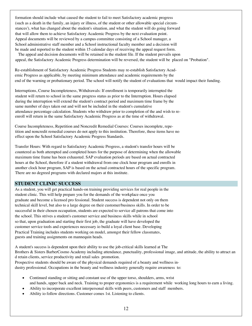formation should include what caused the student to fail to meet Satisfactory academic progress (such as a death in the family, an injury or illness, of the student or other allowable special circumstances'), what has changed about the student's situation, and what the student will do going forward that will allow them to achieve Satisfactory Academic Progress by the next evaluation point. Appeal documents will be reviewed by a campus committee consisting of a School manager, a School administrative staff member and a School instructional faculty member and a decision will be made and reported to the student within 15 calendar days of receiving the appeal request form.

The appeal and decision documents will be retained in the student file. If the student prevails upon appeal, the Satisfactory Academic Progress determination will be reversed, the student will be placed on "Probation".

Re-establishment of Satisfactory Academic Progress Students may re-establish Satisfactory Academic Progress as applicable, by meeting minimum attendance and academic requirements by the end of the warning or probationary period. The school will notify the student of evaluations that would impact their funding.

Interruptions, Course Incompleteness, Withdrawals: If enrollment is temporarily interrupted the student will return to school in the same progress status as prior to the Interruption. Hours elapsed during the interruption will extend the student's contract period and maximum time frame by the same number of days taken out and will not be included in the student's cumulative attendance percentage calculation. Students who withdraw prior to completion of the and wish to reenroll will return in the same Satisfactory Academic Progress as at the time of withdrawal.

Course Incompleteness, Repetition and Noncredit Remedial Courses: Courses incomplete, repetition and noncredit remedial courses do not apply to this institution. Therefore, these items have no effect upon the School Satisfactory Academic Progress Standards.

Transfer Hours: With regard to Satisfactory Academic Progress, a student's transfer hours will be countered as both attempted and completed hours for the purpose of determining when the allowable maximum time frame has been exhausted. SAP evaluation periods are based on actual contracted hours at the School, therefore if a student withdrawal from one clock hour program and enrolls in another clock hour program, SAP is based on the actual contracted hours of the specific program. There are no degreed programs with declared majors at this institute.

#### **STUDENT CLINIC SUCCESS**

As a student, you will get practical hands-on training providing services for real people in the student clinic. This will help prepare you for the demands of the workplace once you graduate and become a licensed pro fessional. Student success is dependent not only on them technical skill level, but also to a large degree on their customer/business skills. In order to be successful in their chosen occupation, students are expected to service all patrons that come into the school. This strives a student's customer service and business skills while in school so that, upon graduation and starting their first job, the graduate will have developed the customer service tools and experiences necessary io build a loyal client base. Developing Practical Training includes students working on model, amongst their fellow classmates, guests and training assignments on mannequin heads.

A student's success is dependent upon their ability to use the job-critical skills learned at The Brothers & Sisters BarberCosmo Academy including attendance, punctuality, professional image, and attitude, the ability to attract an d retain clients, service productivity and retail sales promotion. Prospective students should be aware of the physical demands required of a beauty and wellness industry professional. Occupations in the beauty and wellness industry generally require awareness to:

- Continued standing or sitting and constant use of the upper torso, shoulders, arms, wrist and hands, upper back and neck. Training to proper ergonomics is a requirement while working long hours to earn a living.
- Ability to incorporate excellent interpersonal skills with peers, customers and staff members.
- Ability io follow directions. Customer comes 1st. Listening to clients.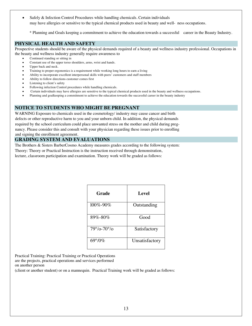Safely & Infection Control Procedures while handling chemicals. Certain individuals may have allergies or sensitive to the typical chemical products used in beauty and well- ness occupations.

\* Planning and Goals keeping a commitment to achieve the education towards a successful career in the Beauty Industry.

## **PHYSICAL HEALTH AND SAFETY**

Prospective students should be aware of the physical demands required of a beauty and wellness industry professional. Occupations in the beauty and wellness industry generally require awareness to

- Continued standing or sitting in
- Constant use of the upper torso shoulders, arms, wrist and hands.
- Upper back and neck.
- Training to proper ergonomics is a requirement while working long hours to earn a living
- Ability to incorporate excellent interpersonal skills with peers' customers and staff members
- Ability to follow directions customer comes first
- Listening to client's safety
- Following infection Control procedures while handling chemicals.
- Certain individuals may have allergies are sensitive to the typical chemical products used in the beauty and wellness occupations.
- Planning and goalkeeping a commitment to achieve the education towards the successful career in the beauty industry

## **NOTICE TO STUDENTS WHO MIGHT BE PREGNANT**

WARNING Exposure to chemicals used in the cosmetology/ industry may cause cancer and birth defects or other reproductive harm to you and your unborn child. In addition, the physical demands required by the school curriculum could place unwanted stress on the mother and child during pregnancy. Please consider this and consult with your physician regarding these issues prior to enrolling and signing the enrollment agreement.

## **GRADING SYSTEM AND EVALUATIONS**

The Brothers & Sisters BarberCosmo Academy measures grades according to the following system: Theory: Theory or Practical Instruction is the instruction received through demonstration, lecture, classroom participation and examination. Theory work will be graded as follows:

| Grade                         | Level          |
|-------------------------------|----------------|
| $100\% - 90\%$                | Outstanding    |
| 89%-80%                       | Good           |
| $79^{\circ}/0 - 70^{\circ}/0$ | Satisfactory   |
| $69^{\circ}/0\%$              | Unsatisfactory |

Practical Training: Practical Training or Practical Operations

are the projects, practical operations and services performed

on another person

(client or another student) or on a mannequin. Practical Training work will be graded as follows: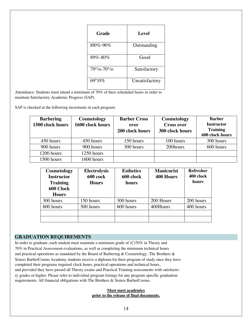| Grade                         | Level          |
|-------------------------------|----------------|
| 100%-90%                      | Outstanding    |
| 89%-80%                       | Good           |
| $79^{\circ}/0 - 70^{\circ}/0$ | Satisfactory   |
| $69^{\circ}/0\%$              | Unsatisfactory |

Attendance: Students must attend a minimum of 70% of their scheduled hours in order to maintain Satisfactory Academic Progress (SAP).

SAP is checked at the following increments in each program:

| <b>Barbering</b><br>1500 clock hours | Cosmetology<br>1600 clock hours | <b>Barber Cross</b><br>over<br>200 clock hours | Cosmetology<br><b>Cross over</b><br>300 clock hours | <b>Barber</b><br><b>Instructor</b><br><b>Training</b><br>600 clock hours |
|--------------------------------------|---------------------------------|------------------------------------------------|-----------------------------------------------------|--------------------------------------------------------------------------|
| 450 hours                            | 450 hours                       | 150 hours                                      | 100 hours                                           | 300 hours                                                                |
| 900 hours                            | 900 hours                       | 300 hours                                      | 200hours                                            | 600 hours                                                                |
| 1200 hours                           | 1250 hours                      |                                                |                                                     |                                                                          |
| 1500 hours                           | 1600 hours                      |                                                |                                                     |                                                                          |

| Cosmetology<br><b>Instructor</b><br><b>Training</b><br>600 Clock | <b>Electrolysis</b><br>600 cock<br><b>Hours</b> | <b>Esthetics</b><br>600 clock<br>hours | <b>Manicurist</b><br><b>400 Hours</b> | <b>Refresher</b><br>400 clock<br>hours |
|------------------------------------------------------------------|-------------------------------------------------|----------------------------------------|---------------------------------------|----------------------------------------|
| <b>Hours</b>                                                     |                                                 |                                        |                                       |                                        |
| 300 hours                                                        | 150 hours                                       | 300 hours                              | 200 Hours                             | 200 hours                              |
| 600 hours                                                        | 300 hours                                       | 600 hours                              | 400Hours                              | 400 hours                              |
|                                                                  |                                                 |                                        |                                       |                                        |
|                                                                  |                                                 |                                        |                                       |                                        |

## **GRADUATION REQUIREMENTS**

In order to graduate, each student must maintain a minimum grade of (C)70% in Theory and 70% in Practical Assessment evaluations, as well as completing the minimum technical hours and practical operations as mandated by the Board of Barbering & Cosmetology. The Brothers & Sisters BarberCosmo Academy students receive a diploma for their program of study once they have completed their programs required clock hours, practical operations and technical hours, and provided they have passed all Theory exams and Practical Training assessments with satisfactory grades or higher. Please refer to individual program listings for any program specific graduation requirements. All financial obligations with The Brothers & Sisters BarberCosmo.

#### **Must meet academics prior to the release of final documents.**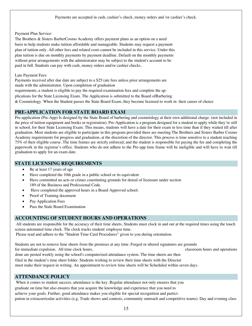Payment Plan Service:

The Brothers & Sisters BarberCosmo Academy offers payment plans as an option on a need basis to help students make tuition affordable and manageable. Students may request a payment plan of tuition only. All other fees and related costs cannot be included in this service. Under this plan tuition is due on monthly payments by payment deadline. Default on the monthly payments without prior arrangements with the administrator may be subject to the student's account to be paid in full. Students can pay with cash, money orders and/or cashier checks.

### Late Payment Fees:

Payments received after due date are subject to a \$25 (ate fees unless prior arrangements are made with the administrator. Upon completion of graduation requirements, a student is eligible to pay the required examination fees and complete the applications for the State Licensing Exam. The Application is submitted to the Board ofBarbering & Cosmetology. When the Student passes the State Board Exam, they become licensed to work in their career of choice

## **PRE-APPLICATION FOR STATE BOARD EXAM**

Pre-application (Pre-App) Is designed by the State Board of barbering and cosmetology at their own additional charge. (not included in the price of tuition equipment and books or registration). Pre-Application is a program designed for a student to apply while they're still in school, for their State Licensing Exam. This means, students will have a date for their exam in less time than if they waited till after graduation. Most students are eligible to participate in this program provided there are meeting The Brothers and Sisters Barber Cosmo Academy requirements for progress and graduation, at the discretion of the director. This process is time sensitive to a student reaching 75% of their eligible course. The time frames are strictly enforced, and the student is responsible for paying the fee and completing the paperwork in the registrar's office. Students who do not adhere to the Pre-app time frame will be ineligible and will have to wait till graduation to apply for an exam date.

## **STATE LICENSING REQUIREMENTS**

- Be at least 17 years of age
- Have completed the 10th grade in a public school or its equivalent
- Have committed no acts or crimes constituting grounds for denial of licensure under section 189 of the Business and Professional Code.
- Have completed the approved hours in a Board Approved school.
- Proof of Training document
- Pay Application Fees
- Pass the Stale Board Examination

## **ACCOUNTING OF STUDENT HOURS AND OPERATIONS**

All students are responsible for the accuracy of their time sheets. Students must clock in and out at the required times using the touch screen automated time clock. The clock tracks student/ employee time.

Please read and adhere to the "Student Time Card Procedures" given to you during orientation.

Students are not to remove lime sheets from the premises at any time. Forged or altered signatures are grounds for immediate expulsion. All time clock hours, classroom hours and operations

done are posted weekly using the school's computerized attendance system. The time sheets are then filed in the student's time sheet folder. Students wishing to review their time sheets with the Director must make their request in writing. An appointment to review time sheets will be Scheduled within seven days.

## **ATTENDANCE POLICY**

When it comes to student success, attendance is the key. Regular attendance not only ensures that you

graduate on time but also ensures that you acquire the knowledge and experience that you need to

achieve your goals. Further, good attendance makes you eligible for special recognition and partici-

pation in extracurricular activities (e.g. Trade shows and contests, community outreach and competitive teams). Day and evening class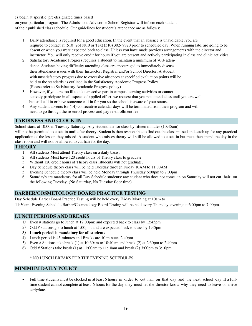es begin at specific, pre-designated times based

on your particular program. The Admissions Advisor or School Registrar will inform each student of their published class schedule. Our guidelines for student's attendance are as follows:

- 1. Daily attendance is required for a good education. In the event that an absence is unavoidable, you are required to contact at (510) 2618810 or Text (510) 302- 9820 prior to scheduled day. When running late, are going to be absent or when you were expected back to class. Unless you have made previous arrangements with the director and instructor. You will only receive credit for hours if you are present and actively participating in class and clinic activities.
- 2. Satisfactory Academic Progress requires a student to maintain a minimum of 70% attendance. Students having difficulty attending class are encouraged to immediately discuss their attendance issues with their Instructor. Registrar and/or School Director. A student with unsatisfactory progress due to excessive absences at specified evaluation points will be held to the standards as outlined in the Satisfactory Academic Progress Policy. (Please refer to Satisfactory Academic Progress policy)
- 3. However, if you are too ill to take an active part in campus learning activities or cannot actively participate in all aspects of applied effort, we request that you not attend class until you are well but still call in or have someone call in for you so the school is aware of your status.
- 4. Any student absents for (14) consecutive calendar days will be terminated from their program and will need to go through the re-enroll process and pay re enrollment fee.

## **TARDINESS AND CLOCK-IN**

School starts at 10:00amTuesday-Saturday. Any student late for class by fifteen minutes (10:45am) will not be permitted to clock in until after theory. Student is then responsible to find out the class missed and catch up for any practical application of the lesson they missed. A student who misses theory will still be allowed to clock in but must then spend the day in the class room and will not be allowed to cut hair for the day.

## **THEORY**

- 1. All students Must attend Theory class on a daily basis.
- 2. All students Must have 120 credit hours of Theory class to graduate
- 3. Without 120 credit hours of Theory class, students will not graduate.
- 4. Day Schedule theory class will be held Tuesday through Friday 10AM to 11:30AM
- 5. Evening Schedule theory class will be held Monday through Thursday 6:00pm to 7:00pm
- 6. Saturday's are mandatory for all Day Schedule students: any student who does not come in on Saturday will not cut hair on the following Tuesday. (No Saturday, No Tuesday floor time)

## **BARBER/COSMETOLOGY BOARD PRACTICE TESTING**

Day Schedule Barber Board Practice Testing will be held every Friday Morning at 10am to

11:30am; Evening Schedule Barber/Cosmetology Board Testing will be held every Thursday evening at 6:00pm to 7:00pm.

## **LUNCH PERIODS AND BREAKS**

- 1) Even # stations go to lunch at 12:00pm: and expected back to class by 12:45pm
- 2) Odd # stations go to lunch at 1:00pm: and are expected back to class by 1:45pm
- 3) **Lunch period is mandatory for all students**
- 4) Lunch period is 45 minutes and Breaks are 10 minutes 2:40pm
- 5) Even # Stations take break (1) at 10:30am to 10:40am and break (2) at 2:30pm to 2:40pm
- 6) Odd # Stations take break (1) at 11:00am to 11:10am and break (2) 3:00pm to 3:10pm

## \* NO LUNCH BREAKS FOR THE EVENING SCHEDULES.

## **MINIMUM DAILY POLICY**

• Full time students must be clocked in at least 6 hours in order to cut hair on that day and the next school day. If a fulltime student cannot complete at least 6 hours for the day they must let the director know why they need to leave or arrive early/late.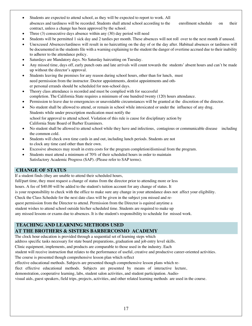- Students are expected to attend school, as they will be expected to report to work. All absences and tardiness will be recorded. Students shall attend school according to the enrollment schedule on their contract, unless a change has been approved by the school.
- Three  $(3)$  consecutive days absence within any  $(30)$  day period will need
- Students will be permitted 1 sick day and 2 tardies per month. These absences will not roll over to the next month if unused.
- Unexcused Absences/tardiness will result in no haircutting on the day of or the day after. Habitual absences or tardiness will be documented in the students file with a warning explaining to the student the danger of overtime accrued due to their inability to adherer to the attendance policy.
- Saturdays are Mandatory days. No Saturday haircutting on Tuesday.
- Any missed time, days off, early punch outs and late arrivals will count towards the students' absent hours and can't be made up without the director's approval.
- Students leaving the premises for any reason during school hours, other than for lunch, must need permission from the instructor. Doctor appointments, dentist appointments and other personal errands should be scheduled for non-school days.
- Theory class attendance is recorded and must be complied with for successful completion. The California State requires a minimum of one hundred twenty (120) hours attendance.
- Permission to leave due to emergencies or unavoidable circumstances will be granted at the discretion of the director.
- No student shall be allowed to attend, or remain in school while intoxicated or under the influence of any drug. Students while under prescription medication must notify the school for approval to attend school. Violation of this rule is cause for disciplinary action by California State Board of Barber Examiners.
- No student shall be allowed to attend school while they have and infectious, contagious or communicable disease including the common cold.
- Students will check own time cards in and out, including lunch periods. Students are not to clock any time card other than their own.
- Excessive absences may result in extra costs for the program completion/dismissal from the program.
- Students must attend a minimum of 70% of their scheduled hours in order to maintain Satisfactory Academic Progress (SAP). (Please refer to SAP terms).

## **CHANGE OF STATUS**

If a student finds (they are unable to attend their scheduled hours,

full/part time, they must request a change of status from the director prior to attending more or less

hours. A fee of \$40.00 will be added to the student's tuition account for any change of status. It

is your responsibility to check with the office to make sure any change in your attendance does not affect your eligibility.

Check the Class Schedule for the next date class will be given in the subject you missed and re-

quest permission from the Director to attend. Permission from the Director is equired anytime a

student wishes to attend school outside his/her scheduled time. Students are required to make up

any missed lessons or exams due to absences. It is the student's responsibility to schedule for missed work.

## **TEACHING AND LEARNING METHODS USED AT THE BROTHERS & SISTERS BARBERCOSMO ACADEMY**

The clock hour education is provided through a sequential set of learning steps which

address specific tasks necessary for state board preparations, graduation and job entry level skills.

Clinic equipment, implements, and products are comparable to those used in the industry. Each

student will receive instruction that relates to the performance of useful, creative and productive career-oriented activities.

The course is presented though comprehensive lesson plan which reflect

effective educational methods. Subjects are presented though comprehensive lesson plans which re-

flect effective educational methods. Subjects are presented by means of interactive lecture,

demonstration, cooperative learning, labs, student salon activities, and student participation. Audio-

visual aids, guest speakers, field trips, projects, activities, and other related learning methods are used in the course.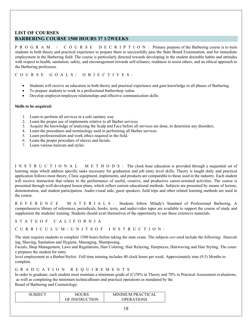## **LIST OF COURSES BARBERING COURSE 1500 HOURS 37 1/2WEEKS**

PROGRAM / COURSE DECRIPTION: Primary purpose of the Barbering course is to train students in both theory and practical experience to prepare them to successfully pass the State Board Examination, and for immediate employment in the Barbering field. The course is particularly directed towards developing in the student desirable habits and attitudes with respect to health, sanitation, safety, and encouragement towards self-reliance, readiness to assist others, and an ethical approach to the Barbering profession.

## COURSE GOALS/ OBJECTIVE S :

- Students will receive an education in both theory and practical experience and gain knowledge in all phases of Barbering.
- To prepare students to work in a professional barbershop /salon.
- Develop employer/employee relationships and effective communication skills.

#### **Skills to be acquired:**

- 1. Learn to perform all services in a safe sanitary way
- 2. Learn the proper use of implements relative to all Barber services.
- 3. Acquire the knowledge of analyzing the Scalp and Face before all services are done, to determine any disorders.
- 4. Learn the procedures and terminology used in performing all Barber services.
- 5. Learn professionalism and work ethics required in the field.
- 6. Learn the proper procedure of shaves and facials.
- 7. Learn various haircuts and styles.

INSTRUCTIONAL METHODS: The clock hour education is provided through a sequential set of learning steps which address specific tasks necessary for graduation and job entry level skills. Theory is taught daily and practical application follows most theory. Clinic equipment, implements, and products are comparable to those used in the industry. Each student will receive instruction that relates to the performance of useful, creative, and productive career-oriented activities. The course is presented through well-developed lesson plans, which reflect current educational methods. Subjects are presented by means of lecture, demonstration, and student participation. Audio-visual aids, guest speakers, field trips and other related learning methods are used in the course.

REFERENCE MATERIALS: Students follow Milady's Standard of Professional Barbering. A comprehensive library of references, periodicals, books, texts, and audio/video tapes are available to support the course of study and supplement the students' training. Students should avail themselves of the opportunity to use these extensive materials.

STATE OF CALIFORNIA

CURRICULUM/UNITSOF INSTRUCTION:

The state requires students to complete 1500 hours before taking the state exam. The subjects cov-ered include the following: Haircutt ing, Shaving, Sanitation and Hygiene, Massaging, Shampooing,

Facials, Shop Management, Laws and Regulations, Hair Coloring, Hair Relaxing, Hairpieces, Hairwaving and Hair Styling. The cours e prepares the student for entry

level employment as a Barber/Stylist. Full time training includes 40 clock hours per week. Approximately nine (9.5) Months to complete.

GRADUATION REQUIRE MENTS

In order to graduate, each student must maintain a minimum grade of (C)70% in Theory and 70% in Practical Assessment evaluations, as well as completing the minimum technicalhours and practical operations as mandated by the Board of Barbering and Cosmetology:

| RS             | MINIMUM PRACTICAL |
|----------------|-------------------|
| OF INSTRUCTION | OPER ATIONS       |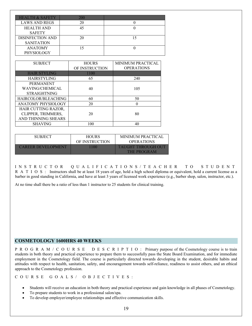| <b>HEALTH &amp; SAFETY</b> | 200 |  |
|----------------------------|-----|--|
| <b>LAWS AND REGS</b>       | 20  |  |
| <b>HEALTH AND</b>          | 45  |  |
| <b>SAFETY</b>              |     |  |
| <b>DISINFECTION AND</b>    | 20  |  |
| <b>SANITATION</b>          |     |  |
| <b>ANATOMY</b>             |     |  |
| PHYSIOLOGY                 |     |  |

| <b>SUBJECT</b>         | <b>HOURS</b><br>OF INSTRUCTION | <b>MINIMUM PRACTICAL</b><br><b>OPERATIONS</b> |
|------------------------|--------------------------------|-----------------------------------------------|
| <b>HAIR STYLING</b>    | 1100                           |                                               |
| <b>HAIRSTYLING</b>     | 65                             | 240                                           |
| <b>PERMANENT</b>       |                                |                                               |
| <b>WAVING/CHEMICAL</b> | 40                             | 105                                           |
| <b>STRAIGHTNING</b>    |                                |                                               |
| HAIRCOLOR/BLEACHING    | 60                             | 50                                            |
| ANATOMY PHYSIOLOGY     | 20                             |                                               |
| HAIR CUTTING RAZOR,    |                                |                                               |
| CLIPPER, TRIMMERS,     | 20                             | 80                                            |
| AND THINNING SHEARS    |                                |                                               |
| <b>SHAVING</b>         | 100                            | 4(                                            |

| <b>SUBJECT</b>             | <b>HOURS</b>   | MINIMUM PRACTICAL  |
|----------------------------|----------------|--------------------|
|                            | OF INSTRUCTION | <b>OPERATIONS</b>  |
| <b>CAREER DEVELOPMENT.</b> | 100            | TAHGHT THROHGH OHT |
|                            |                | <b>THE PROGRAM</b> |

INSTRUCTOR QUALIFICATIONS/TEACHER TO STUDENT R A T I O S : Instructors shall be at least 18 years of age, hold a high school diploma or equivalent, hold a current license as a barber in good standing in California, and have at least 3 years of licensed work experience (e.g., barber shop, salon, instructor, etc.).

At no time shall there be a ratio of less than 1 instructor to 25 students for clinical training.

## **COSMETOLOGY 1600HRS 40 WEEKS**

PROGRAM/COURSE DESCRIPTIO : Primary purpose of the Cosmetology course is to train students in both theory and practical experience to prepare them to successfully pass the State Board Examination, and for immediate employment in the Cosmetology field. The course is particularly directed towards developing in the student, desirable habits and attitudes with respect to health, sanitation, safety, and encouragement towards self-reliance, readiness to assist others, and an ethical approach to the Cosmetology profession.

COURSE GOALS/ OB JECTIVES:

- Students will receive an education in both theory and practical experience and gain knowledge in all phases of Cosmetology.
- To prepare students to work in a professional salon/spa.
- To develop employer/employee relationships and effective communication skills.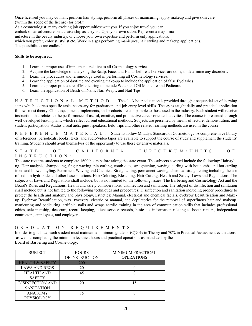Once licensed you may cut hair, perform hair styling, perform all phases of manicuring, apply makeup and give skin care (within the scope of the license) for profit.

As a cosmetologist, many exciting job opportunitiesawait you. If you enjoy travel you can

embark on an adventure on a cruise ship as a stylist. Openyour own salon. Represent a major ma-

nufacture in the beauty industry, or choose your own expertise and perform only applications,

which you prefer, colorist, stylist etc. Work in a spa performing manicures, hair styling and makeup applications. The possibilities are endless!

#### **Skills to be acquired:**

- 1. Learn the proper use of implements relative to all Cosmetology services.
- 2. Acquire the knowledge of analyzing the Scalp, Face, and Hands before all services are done, to determine any disorders.
- 3. Learn the procedures and terminology used in performing all Cosmetology services.
- 4. Learn the application of daytime and evening make-up to include the application of false Eyelashes.
- 5. Learn the proper procedure of Manicuring to include Water and Oil Manicure and Pedicure.
- 6. Learn the application of Brush-on Nails, Nail Wraps, and Nail Tips.

N S T R U C T I O N A L M E T H O D : The clock hour education is provided through a sequential set of learning steps which address specific tasks necessary for graduation and job entry level skills. Theory is taught daily and practical application follows most theory. Clinic equipment, implements, and products are comparable to those used in the industry. Each student will receive instruction that relates to the performance of useful, creative, and productive career-oriented activities. The course is presented through well-developed lesson plans, which reflect current educational methods. Subjects are presented by means of lecture, demonstration, and student participation. Audio-visual aids, guest speakers, field trips and other related learning methods are used in the course.

REFERENCE MATERIAL: Students follow Milady's Standard of Cosmetology. A comprehensive library of references, periodicals, books, texts, and audio/video tapes are available to support the course of study and supplement the students' training. Students should avail themselves of the opportunity to use these extensive materials.

## STATE OF CALIFORNIA CURICUKUM/UNITS OF INSTRUCTION:

The state requires students to complete 1600 hours before taking the state exam. The subjects covered include the following: Hairstyli ng, Hair analysis, shampooing, finger waving, pin curling, comb outs, straightening, waving, curling with hot combs and hot curling irons and blower styling. Permanent Waving and Chemical Straightening, permanent waving, chemical straightening including the use of sodium hydroxide and other base solutions. Hair Coloring, Bleaching, Hair Cutting, Health and Safety, Laws and Regulations. The subjects of Laws and Regulations shall include, but is not limited to, the following issues: The Barbering and Cosmetology Act and the Board's Rules and Regulations. Health and safety considerations, disinfection and sanitation. The subject of disinfection and sanitation shall include but is not limited to the following techniques and procedures: Disinfection and sanitation including proper procedures to protect the health and anatomy and physiology. Esthetics: Manual, electrical and chemical facials, eyebrow Beautification and Makeup. Eyebrow Beautification, wax, tweezers, electric or manual, and depilatories for the removal of superfluous hair and makeup. manicuring and pedicuring, artificial nails and wraps acrylic training in the area of communication skills that includes professional ethics, salesmanship, decorum, record keeping, client service records, basic tax information relating to booth renters, independent contractors, employees, and employers.

## GRADUATION REQUIREMENTS

In order to graduate, each student must maintain a minimum grade of (C)70% in Theory and 70% in Practical Assessment evaluations, as well as completing the minimum technicalhours and practical operations as mandated by the Board of Barbering and Cosmetology:

| <b>SUBJECT</b>             | <b>HOURS</b>   | <b>MINIMUM PRACTICAL</b> |
|----------------------------|----------------|--------------------------|
|                            | OF INSTRUCTION | <b>OPERATIONS</b>        |
| <b>HEALTH &amp; SAFETY</b> | 200            |                          |
| <b>LAWS AND REGS</b>       | 20             |                          |
| <b>HEALTH AND</b>          | 45             |                          |
| <b>SAFETY</b>              |                |                          |
| <b>DISINFECTION AND</b>    | 20             | 15                       |
| <b>SANITATION</b>          |                |                          |
| <b>ANATOMY</b>             | 15             |                          |
| <b>PHYSIOLOGY</b>          |                |                          |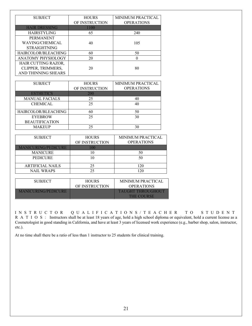| <b>SUBJECT</b>       | <b>HOURS</b><br>OF INSTRUCTION | <b>MINIMUM PRACTICAL</b><br><b>OPERATIONS</b> |
|----------------------|--------------------------------|-----------------------------------------------|
| <b>HAIR DRESSING</b> | 1100                           |                                               |
| <b>HAIRSTYLING</b>   | 65                             | 240                                           |
| <b>PERMANENT</b>     |                                |                                               |
| WAVING/CHEMICAL      | 40                             | 105                                           |
| <b>STRAIGHTNING</b>  |                                |                                               |
| HAIRCOLOR/BLEACHING  | 60                             | 50                                            |
| ANATOMY PHYSIOLOGY   | 20                             |                                               |
| HAIR CUTTING RAZOR,  |                                |                                               |
| CLIPPER, TRIMMERS,   | 20                             | 80                                            |
| AND THINNING SHEARS  |                                |                                               |

| <b>SUBJECT</b>        | <b>HOURS</b>   | MINIMUM PRACTICAL |
|-----------------------|----------------|-------------------|
|                       | OF INSTRUCTION | <b>OPERATIONS</b> |
| <b>ESTHETICS</b>      | 200            |                   |
| <b>MANUAL FACIALS</b> | 25             | 40                |
| <b>CHEMICAL</b>       | 25             | 40                |
| HAIRCOLOR/BLEACHING   | 60             | 50                |
| <b>EYEBROW</b>        | 25             | 30                |
| <b>BEAUTIFICATION</b> |                |                   |
| <b>MAKEUP</b>         | 25             | 30                |

| <b>SUBJECT</b>             | <b>HOURS</b>   | <b>MINIMUM PRACTICAL</b> |
|----------------------------|----------------|--------------------------|
|                            | OF INSTRUCTION | <b>OPERATIONS</b>        |
| <b>MANICURING/PEDICURE</b> |                |                          |
| <b>MANICURE</b>            |                | 50                       |
| <b>PEDICURE</b>            |                | 50                       |
|                            |                |                          |
| <b>ARTIFICIAL NAILS</b>    | 25             | 20                       |
| <b>NAIL WRAPS</b>          | 25             | 20                       |

| <b>SUBJECT</b>             | <b>HOURS</b><br>OF INSTRUCTION | MINIMUM PRACTICAL<br><b>OPERATIONS</b>    |
|----------------------------|--------------------------------|-------------------------------------------|
| <b>MANICURING/PEDICURE</b> |                                | <b>TALIGHT THROLIGHOLIT</b><br>THE COURSE |

INSTRUCTOR QUALIFICATIONS/TEACHER TO STUDENT R A T I O S : Instructors shall be at least 18 years of age, hold a high school diploma or equivalent, hold a current license as a Cosmetologist in good standing in California, and have at least 3 years of licensed work experience (e.g., barber shop, salon, instructor, etc.).

At no time shall there be a ratio of less than 1 instructor to 25 students for clinical training.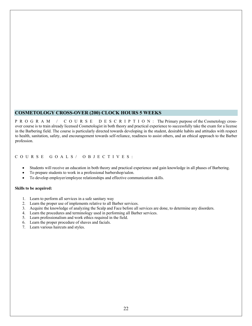## **COSMETOLOGY CROSS-OVER (200) CLOCK HOURS 5 WEEKS**

PROGRAM / COURSE DESCRIPTION : The Primary purpose of the Cosmetology crossover course is to train already licensed Cosmetologist in both theory and practical experience to successfully take the exam for a license in the Barbering field. The course is particularly directed towards developing in the student, desirable habits and attitudes with respect to health, sanitation, safety, and encouragement towards self-reliance, readiness to assist others, and an ethical approach to the Barber profession.

COURSE GOALS/ OBJECTIVES:

- Students will receive an education in both theory and practical experience and gain knowledge in all phases of Barbering.
- To prepare students to work in a professional barbershop/salon.
- To develop employer/employee relationships and effective communication skills.

#### **Skills to be acquired:**

- 1. Learn to perform all services in a safe sanitary way
- 2. Learn the proper use of implements relative to all Barber services.
- 3. Acquire the knowledge of analyzing the Scalp and Face before all services are done, to determine any disorders.
- 4. Learn the procedures and terminology used in performing all Barber services.
- 5. Learn professionalism and work ethics required in the field.
- 6. Learn the proper procedure of shaves and facials.
- 7. Learn various haircuts and styles.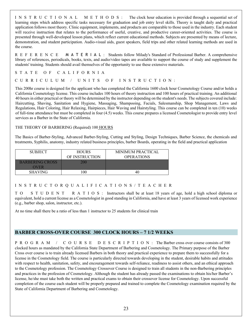INSTRUCTIONAL METHODS: The clock hour education is provided through a sequential set of learning steps which address specific tasks necessary for graduation and job entry level skills. Theory is taught daily and practical application follows most theory. Clinic equipment, implements, and products are comparable to those used in the industry. Each student will receive instruction that relates to the performance of useful, creative, and productive career-oriented activities. The course is presented through well-developed lesson plans, which reflect current educational methods. Subjects are presented by means of lecture, demonstration, and student participation. Audio-visual aids, guest speakers, field trips and other related learning methods are used in the course.

REFERENCE MATERIAL : Students follow Milady's Standard of Professional Barber. A comprehensive library of references, periodicals, books, texts, and audio/video tapes are available to support the course of study and supplement the students' training. Students should avail themselves of the opportunity to use these extensive materials.

STATE OF CALIFORNIA

CURRICULUM / UNITS OF INSTRUCTION:

This 200hr course is designed for the applicant who has completed the California 1600 clock hour Cosmetology Course and/or holds a California Cosmetology license. This course includes 100 hours of theory instruction and 100 hours of practical training. An additional 40 hours in either practical or theory will be determined by the instructor depending on the student's needs. The subjects covered include: Haircutting, Shaving, Sanitation and Hygiene, Massaging, Shampooing, Facials, Salesmanship, Shop Management, Laws and Regulations, Hair Coloring, Hair Relaxing, Hairpieces, Hair Waving and Hairstyling. This course can be completed in ten (10) weeks of full-time attendance but must be completed in four (4.5) weeks. This course prepares a licensed Cosmetologist to provide entry level services as a Barber in the State of California.

#### THE THEORY OF BARBERING (Required) 100 HOURS

The Basics of Barber-Styling, Advanced Barber-Styling, Cutting and Styling, Design Techniques, Barber Science, the chemicals and treatments, Syphilis, anatomy, industry related business principles, barber Boards, operating in the field and practical application

| <b>SUBJECT</b>         | <b>HOURS</b>   | MINIMUM PRACTICAL |
|------------------------|----------------|-------------------|
|                        | OF INSTRUCTION | <b>OPERATIONS</b> |
| <b>BARBERING CROSS</b> |                |                   |
| OVER                   |                |                   |
| <b>SHAVING</b>         | 00             |                   |

## INSTRUCTORQUALIFICATIONS/TEACHER

TO STUDENT RATIOS: Instructors shall be at least 18 years of age, hold a high school diploma or equivalent, hold a current license as a Cosmetologist in good standing in California, and have at least 3 years of licensed work experience (e.g., barber shop, salon, instructor, etc.).

At no time shall there be a ratio of less than 1 instructor to 25 students for clinical train

## **BARBER CROSS-OVER COURSE 300 CLOCK HOURS – 7 1/2 WEEKS**

PROGRAM / COURSE DESCRIPTION : The Barber cross over course consists of 300 clocked hours as mandated by the California State Department of Barbering and Cosmetology. The Primary purpose of the Barber Cross over course is to train already licensed Barbers in both theory and practical experience to prepare them to successfully for a license in the Cosmetology field. The course is particularly directed towards developing in the student, desirable habits and attitudes with respect to health, sanitation, safety, and encouragement towards self-reliance, readiness to assist others, and an ethical approach to the Cosmetology profession. The Cosmetology Crossover Course is designed to train all students in the non-Barbering principles and practices in the profession of Cosmetology. Although the student has already passed the examinations to obtain his/her Barber's license, he/she must take both the written and practical exams to obtain their crossover license for Cosmetology. Upon successful completion of the course each student will be properly prepared and trained to complete the Cosmetology examination required by the State of California Department of Barbering and Cosmetology.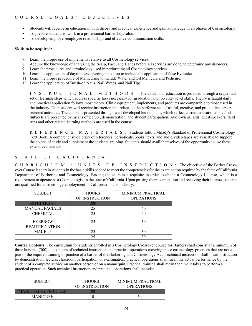- Students will receive an education in both theory and practical experience and gain knowledge in all phases of Cosmetology.
- To prepare students to work in a professional barbershop/salon.
- To develop employer/employee relationships and effective communication skills.

#### **Skills to be acquired:**

- 7. Learn the proper use of implements relative to all Cosmetology services.
- 8. Acquire the knowledge of analyzing the Scalp, Face, and Hands before all services are done, to determine any disorders.
- 9. Learn the procedures and terminology used in performing all Cosmetology services.
- 10. Learn the application of daytime and evening make-up to include the application of false Eyelashes.
- 11. Learn the proper procedure of Manicuring to include Water and Oil Manicure and Pedicure.
- 12. Learn the application of Brush-on Nails, Nail Wraps, and Nail Tips.

INSTRUCTIONAL METHODS : The clock hour education is provided through a sequential set of learning steps which address specific tasks necessary for graduation and job entry level skills. Theory is taught daily and practical application follows most theory. Clinic equipment, implements, and products are comparable to those used in the industry. Each student will receive instruction that relates to the performance of useful, creative, and productive careeroriented activities. The course is presented through well-developed lesson plans, which reflect current educational methods. Subjects are presented by means of lecture, demonstration, and student participation. Audio-visual aids, guest speakers, field trips and other related learning methods are used in the course.

REFERENCE MATERIALS: Students follow Milady's Standard of Professional Cosmetology Text Book. A comprehensive library of references, periodicals, books, texts, and audio/video tapes are available to support the course of study and supplement the students' training. Students should avail themselves of the opportunity to use these extensive materials.

## STATE OF CALIFORNIA

CURRICULUM / UNITS OF INSTRUCTION : The objective of the Barber Crossover Course is to train students in the basic skills needed to meet the competencies for the examination required by the State of California Department of Barbering and Cosmetology. Passing the exam is a requisite in order to obtain a Cosmetology License, which is a requirement to operate as a Cosmetologist in the state of California. Upon passing their examination and receiving their license, students are qualified for cosmetology employment in California in this industry.

| <b>SUBJECT</b>                          | <b>HOURS</b>   | MINIMUM PRACTICAL |
|-----------------------------------------|----------------|-------------------|
|                                         | OF INSTRUCTION | <b>OPERATIONS</b> |
| <b>ESTHETICIAN</b>                      | 200            |                   |
| <b>MANUAL FACIALS</b>                   | 25             |                   |
| <b>CHEMICAL</b>                         | 25             |                   |
| <b>EYEBROW</b><br><b>BEAUTIFICATION</b> | 25             | 30                |
| <b>MAKEUP</b>                           | 25             |                   |
|                                         | つく             |                   |

**Course Contents:** The curriculum for students enrolled in a Cosmetology Crossover course for Barbers shall consist of a minimum of three hundred (300) clock hours of technical instruction and practical operations covering those cosmetology practices that are not a part of the required training or practice of a barber of the Barbering and Cosmetology Act. Technical instruction shall mean instruction by demonstration, lecture, classroom participation, or examination; practical operations shall mean the actual performance by the student of a complete service on another person or on a mannequin. Practical training shall mean the time it takes to perform a practical operation. Such technical instruction and practical operations shall include:

| <b>SUBJECT</b>             | <b>HOURS</b>   | MINIMUM PRACTICAL |
|----------------------------|----------------|-------------------|
|                            | OF INSTRUCTION | <b>OPERATIONS</b> |
| <b>MANICURING/PEDICURE</b> |                |                   |
| <b>MANICURE</b>            |                | 50                |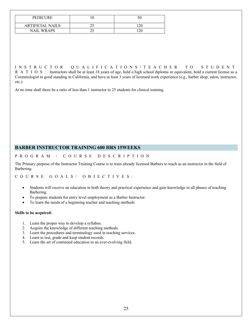| <b>PEDICURE</b>         | C. |
|-------------------------|----|
| <b>ARTIFICIAL NAILS</b> |    |
| <b>NAIL WRAPS</b>       |    |

INSTRUCTOR QUALIFICATIONS/TEACHER TO STUDENT R A T I O S : Instructors shall be at least 18 years of age, hold a high school diploma or equivalent, hold a current license as a Cosmetologist in good standing in California, and have at least 3 years of licensed work experience (e.g., barber shop, salon, instructor, etc.).

At no time shall there be a ratio of less than 1 instructor to 25 students for clinical training.

## **BARBER INSTRUCTOR TRAINING 600 HRS 15WEEKS**

### PROGRAM / COURSE DESCRIPTION

The Primary purpose of the Instructor Training Course is to train already licensed Barbers to teach as an instructor in the field of Barbering.

COURSE GOALS/ OBJECTIVES:

- Students will receive an education in both theory and practical experience and gain knowledge in all phases of teaching Barbering.
- To prepare students for entry level employment as a Barber Instructor.
- To learn the needs of a beginning teacher and teaching methods

#### **Skills to be acquired:**

- 1. Learn the proper way to develop a syllabus.
- 2. Acquire the knowledge of different teaching methods.
- 3. Learn the procedures and terminology used in teaching services.
- 4. Learn to test, grade and keep student records.
- 5. Learn the art of continued education in an ever-evolving field.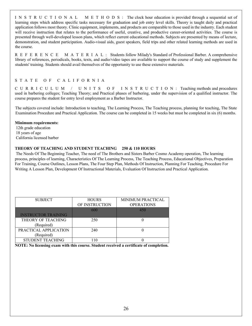INSTRUCTIONAL METHODS: The clock hour education is provided through a sequential set of learning steps which address specific tasks necessary for graduation and job entry level skills. Theory is taught daily and practical application follows most theory. Clinic equipment, implements, and products are comparable to those used in the industry. Each student will receive instruction that relates to the performance of useful, creative, and productive career-oriented activities. The course is presented through well-developed lesson plans, which reflect current educational methods. Subjects are presented by means of lecture, demonstration, and student participation. Audio-visual aids, guest speakers, field trips and other related learning methods are used in the course.

REFERENCE MATERIAL: Students follow Milady's Standard of Professional Barber. A comprehensive library of references, periodicals, books, texts, and audio/video tapes are available to support the course of study and supplement the students' training. Students should avail themselves of the opportunity to use these extensive materials.

## STATE OF CALIFORNIA

CURRICULUM / UNITS OF INSTRUCTIO N : Teaching methods and procedures used in barbering colleges; Teaching Theory; and Practical phases of barbering, under the supervision of a qualified instructor. The course prepares the student for entry level employment as a Barber Instructor.

The subjects covered include: Introduction to teaching, The Learning Process, The Teaching process, planning for teaching, The State Examination Procedure and Practical Application. The course can be completed in 15 weeks but must be completed in six (6) months.

#### **Minimum requirements:**

12th grade education 18 years of age California licensed barber

## **THEORY OF TEACHING AND STUDENT TEACHING 250 & 110 HOURS**

The Needs Of The Beginning Teacher, The need of The Brothers and Sisters Barber Cosmo Academy operation, The learning process, principles of learning, Characteristics Of The Learning Process, The Teaching Process, Educational Objectives, Preparation For Training, Course Outlines, Lesson Plans, The Four Step Plan, Methods Of Instruction, Planning For Teaching, Procedure For Writing A Lesson Plan, Development Of Instructional Materials, Evaluation Of Instruction and Practical Application.

| <b>SUBJECT</b>             | <b>HOURS</b>   | MINIMUM PRACTICAL |
|----------------------------|----------------|-------------------|
|                            | OF INSTRUCTION | <b>OPERATIONS</b> |
|                            | 600            | 450               |
| <b>INSTRUCTOR TRAINING</b> |                |                   |
| THEORY OF TEACHING         | 250            |                   |
| (Required)                 |                |                   |
| PRACTICAL APPLICATION      | 240            |                   |
| (Required)                 |                |                   |
| <b>STUDENT TEACHING</b>    |                |                   |

**NOTE: No licensing exam with this course. Student received a certificate of completion.**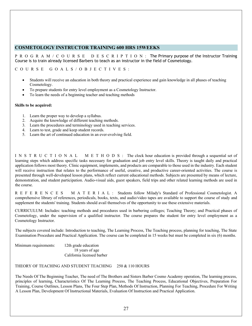## **COSMETOLOGY INSTRUCTOR TRAINING 600 HRS 15WEEKS**

PROGRAM/COURSE DESCRIPTION : The Primary purpose of the Instructor Training Course is to train already licensed Barbers to teach as an instructor in the field of Cosmetology.

COURSE GOALS/OBJECTIVES:

- Students will receive an education in both theory and practical experience and gain knowledge in all phases of teaching Cosmetology.
- To prepare students for entry level employment as a Cosmetology Instructor.
- To learn the needs of a beginning teacher and teaching methods

#### **Skills to be acquired:**

- 1. Learn the proper way to develop a syllabus.
- 2. Acquire the knowledge of different teaching methods.
- 3. Learn the procedures and terminology used in teaching services.
- 4. Learn to test, grade and keep student records.
- 5. Learn the art of continued education in an ever-evolving field.

INSTRUCTIONAL METHODS: The clock hour education is provided through a sequential set of learning steps which address specific tasks necessary for graduation and job entry level skills. Theory is taught daily and practical application follows most theory. Clinic equipment, implements, and products are comparable to those used in the industry. Each student will receive instruction that relates to the performance of useful, creative, and productive career-oriented activities. The course is presented through well-developed lesson plans, which reflect current educational methods. Subjects are presented by means of lecture, demonstration, and student participation. Audio-visual aids, guest speakers, field trips and other related learning methods are used in the course.

REFERENCES MATERIAL: Students follow Milady's Standard of Professional Cosmetologist. A comprehensive library of references, periodicals, books, texts, and audio/video tapes are available to support the course of study and supplement the students' training. Students should avail themselves of the opportunity to use these extensive materials.

CURRICULUM: Includes: teaching methods and procedures used in barbering colleges; Teaching Theory; and Practical phases of Cosmetology, under the supervision of a qualified instructor. The course prepares the student for entry level employment as a Cosmetology Instructor.

The subjects covered include: Introduction to teaching, The Learning Process, The Teaching process, planning for teaching, The State Examination Procedure and Practical Application. The course can be completed in 15 weeks but must be completed in six (6) months.

Minimum requirements: 12th grade education

18 years of age California licensed barber

## THEORY OF TEACHING AND STUDENT TEACHING 250 & 110 HOURS

The Needs Of The Beginning Teacher, The need of The Brothers and Sisters Barber Cosmo Academy operation, The learning process, principles of learning, Characteristics Of The Learning Process, The Teaching Process, Educational Objectives, Preparation For Training, Course Outlines, Lesson Plans, The Four Step Plan, Methods Of Instruction, Planning For Teaching, Procedure For Writing A Lesson Plan, Development Of Instructional Materials, Evaluation Of Instruction and Practical Application.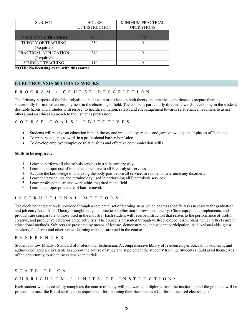| <b>SUBJECT</b>             | <b>HOURS</b>   | <b>MINIMUM PRACTICAL</b> |
|----------------------------|----------------|--------------------------|
|                            | OF INSTRUCTION | <b>OPERATIONS</b>        |
|                            |                |                          |
| <b>INSTRUCTOR TRAINING</b> | 600            | 450                      |
| THEORY OF TEACHING         | 250            |                          |
| (Required)                 |                |                          |
| PRACTICAL APPLICATION      | 240            |                          |
| (Required)                 |                |                          |
| <b>STUDENT TEACHING</b>    | l 10           |                          |

**NOTE: No licensing exam with this course**

## **ELECTROLYSIS 600 HRS 15 WEEKS**

#### PROGRAM / COURSE DESCRIPTION

The Primary purpose of the Electrolysis course is to train students in both theory and practical experience to prepare them to successfully for immediate employment in the electrologist field. The course is particularly directed towards developing in the student, desirable habits and attitudes with respect to health, sanitation, safety, and encouragement towards self-reliance, readiness to assist others, and an ethical approach to the Esthetics profession.

COURSE GOALS/ OBJECTIVES:

- Students will receive an education in both theory and practical experience and gain knowledge in all phases of Esthetics.
- To prepare students to work in a professional barbershop/salon.
- To develop employer/employee relationships and effective communication skills.

#### **Skills to be acquired:**

- 1. Learn to perform all electrolysis services in a safe sanitary way
- 2. Learn the proper use of implements relative to all Electrolysis services.
- 3. Acquire the knowledge of analyzing the body part before all services are done, to determine any disorders.
- 4. Learn the procedures and terminology used in performing all Electrolysis services.
- 5. Learn professionalism and work ethics required in the field.
- 6. Learn the proper procedure of hair removal.

#### INSTRUCTIONAL METHODS :

The clock hour education is provided through a sequential set of learning steps which address specific tasks necessary for graduation and job entry level skills. Theory is taught daily and practical application follows most theory. Clinic equipment, implements, and products are comparable to those used in the industry. Each student will receive instruction that relates to the performance of useful, creative, and productive career-oriented activities. The course is presented through well-developed lesson plans, which reflect current educational methods. Subjects are presented by means of lecture, demonstration, and student participation. Audio-visual aids, guest speakers, field trips and other related learning methods are used in the course.

#### REFERENCES:

Students follow Milady's Standard of Professional Esthetician. A comprehensive library of references, periodicals, books, texts, and audio/video tapes are available to support the course of study and supplement the students' training. Students should avail themselves of the opportunity to use these extensive materials.

#### STATE OF CA.

#### CURRICULUM / UNITS OF INSTRUCTION:

Each student who successfully completes the course of study will be awarded a diploma from the institution and the graduate will be prepared to meet the Board certification requirement for obtaining their licensure as a California licensed electrologist.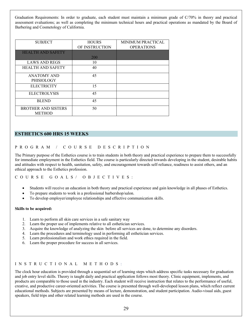Graduation Requirements: In order to graduate, each student must maintain a minimum grade of C/70% in theory and practical assessment evaluations; as well as completing the minimum technical hours and practical operations as mandated by the Board of Barbering and Cosmetology of California.

| <b>SUBJECT</b>                              | <b>HOURS</b><br>OF INSTRUCTION | <b>MINIMUM PRACTICAL</b><br><b>OPERATIONS</b> |
|---------------------------------------------|--------------------------------|-----------------------------------------------|
| <b>HEALTH AND SAFETY</b>                    | 200                            |                                               |
| <b>LAWS AND REGS</b>                        | 10                             |                                               |
| <b>HEALTH AND SAFETY</b>                    | 40                             |                                               |
| <b>ANATOMY AND</b><br><b>PHISIOLOGY</b>     | 45                             |                                               |
| <b>ELECTRICITY</b>                          | 15                             |                                               |
| <b>ELECTROLYSIS</b>                         | 45                             |                                               |
| <b>BLEND</b>                                | 45                             |                                               |
| <b>BROTHER AND SISTERS</b><br><b>METHOD</b> | 50                             |                                               |

## **ESTHETICS 600 HRS 15 WEEKS**

#### PROGRAM / COURSE DESCRIPTION

The Primary purpose of the Esthetics course is to train students in both theory and practical experience to prepare them to successfully for immediate employment in the Esthetics field. The course is particularly directed towards developing in the student, desirable habits and attitudes with respect to health, sanitation, safety, and encouragement towards self-reliance, readiness to assist others, and an ethical approach to the Esthetics profession.

#### COURSE GOALS/ OBJECTIVES:

- Students will receive an education in both theory and practical experience and gain knowledge in all phases of Esthetics.
- To prepare students to work in a professional barbershop/salon.
- To develop employer/employee relationships and effective communication skills.

#### **Skills to be acquired:**

- 1. Learn to perform all skin care services in a safe sanitary way
- 2. Learn the proper use of implements relative to all esthetician services.
- 3. Acquire the knowledge of analyzing the skin before all services are done, to determine any disorders.
- 4. Learn the procedures and terminology used in performing all esthetician services.
- 5. Learn professionalism and work ethics required in the field.
- 6. Learn the proper procedure for success in all services.

#### INSTRUCTIONAL METHODS :

The clock hour education is provided through a sequential set of learning steps which address specific tasks necessary for graduation and job entry level skills. Theory is taught daily and practical application follows most theory. Clinic equipment, implements, and products are comparable to those used in the industry. Each student will receive instruction that relates to the performance of useful, creative, and productive career-oriented activities. The course is presented through well-developed lesson plans, which reflect current educational methods. Subjects are presented by means of lecture, demonstration, and student participation. Audio-visual aids, guest speakers, field trips and other related learning methods are used in the course.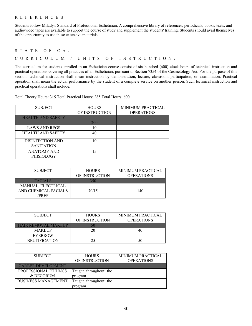#### REFERENCES:

Students follow Milady's Standard of Professional Esthetician. A comprehensive library of references, periodicals, books, texts, and audio/video tapes are available to support the course of study and supplement the students' training. Students should avail themselves of the opportunity to use these extensive materials.

#### STATE OF CA.

CURRICULUM / UNITS OF INSTRUCTION:

The curriculum for students enrolled in an Esthetician course consist of six hundred (600) clock hours of technical instruction and practical operations covering all practices of an Esthetician, pursuant to Section 7354 of the Cosmetology Act. For the purpose of this section, technical instruction shall mean instruction by demonstration, lecture, classroom participation, or examination. Practical operation shall mean the actual performance by the student of a complete service on another person. Such technical instruction and practical operations shall include:

Total Theory Hours: 315 Total Practical Hours: 285 Total Hours: 600

| <b>SUBJECT</b>                        | <b>HOURS</b><br>OF INSTRUCTION | <b>MINIMUM PRACTICAL</b><br><b>OPERATIONS</b> |
|---------------------------------------|--------------------------------|-----------------------------------------------|
| <b>HEALTH AND SAFETY</b>              | 200                            |                                               |
| <b>LAWS AND REGS</b>                  | 10                             |                                               |
| <b>HEALTH AND SAFETY</b>              | 40                             |                                               |
| DISINFECTION AND<br><b>SANITATION</b> | 10                             |                                               |
| ANATOMY AND<br><b>PHISIOLOGY</b>      | 15                             |                                               |

| <b>SUBJECT</b>       | <b>HOURS</b><br>OF INSTRUCTION | MINIMUM PRACTICAL<br><b>OPERATIONS</b> |
|----------------------|--------------------------------|----------------------------------------|
|                      |                                |                                        |
| <b>FACIALS</b>       | 350                            |                                        |
| MANUAL, ELECTRICAL   |                                |                                        |
| AND CHEMICAL FACIALS | 70/15                          | 140                                    |
| 'PR E P              |                                |                                        |

| <b>SUBJECT</b>             | <b>HOURS</b>   | <b>MINIMUM PRACTICAL</b> |
|----------------------------|----------------|--------------------------|
|                            | OF INSTRUCTION | <b>OPERATIONS</b>        |
| <b>HAIR REMOVAL/MAKEUP</b> |                |                          |
| <b>MAKEUP</b>              |                | 40                       |
| <b>EYEBROW</b>             |                |                          |
| <b>BEUTIFICATION</b>       |                |                          |

| <b>SUBJECT</b>             | <b>HOURS</b>          | MINIMUM PRACTICAL |
|----------------------------|-----------------------|-------------------|
|                            | OF INSTRUCTION        | <b>OPERATIONS</b> |
| <b>CAREER DEVELOPMENT</b>  |                       |                   |
| PROFESSIONAL ETHINCS       | Taught throughout the |                   |
| & DECORUM                  | program               |                   |
| <b>BUSINESS MANAGEMENT</b> | Taught throughout the |                   |
|                            | program               |                   |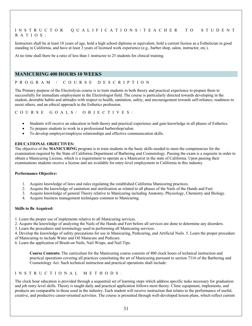#### INSTRUCTOR QUALIFICATIONS/TEACHER TO STUDENT RATIOS:

Instructors shall be at least 18 years of age, hold a high school diploma or equivalent, hold a current license as a Esthetician in good standing in California, and have at least 3 years of licensed work experience (e.g., barber shop, salon, instructor, etc.).

At no time shall there be a ratio of less than 1 instructor to 25 students for clinical training.

### **MANICURING 400 HOURS 10 WEEKS**

#### PROGRAM / COURSE DESCRIPTION

The Primary purpose of the Electrolysis course is to train students in both theory and practical experience to prepare them to successfully for immediate employment in the Electrologist field. The course is particularly directed towards developing in the student, desirable habits and attitudes with respect to health, sanitation, safety, and encouragement towards self-reliance, readiness to assist others, and an ethical approach to the Esthetics profession.

COURSE GOALS/ OBJECTIVES:

- Students will receive an education in both theory and practical experience and gain knowledge in all phases of Esthetics.
- To prepare students to work in a professional barbershop/salon.
- To develop employer/employee relationships and effective communication skills.

#### **EDUCATIONAL OBJECTIVES:**

The objective of the **MANICURING** program is to train students in the basic skills needed to meet the competencies for the examination required by the State of California Department of Barbering and Cosmetology. Passing the exam is a requisite in order to obtain a Manicuring License, which is a requirement to operate as a Manicurist in the state of California. Upon passing their examinations students receive a license and are available for entry-level employment in California in this industry.

#### **Performance Objective:**

- 1. Acquire knowledge of laws and rules regulating the established California Manicuring practices.
- 2. Acquire the knowledge of sanitation and sterilization as related to all phases of the Nails of the Hands and Feet.
- 3. Acquire knowledge of general Theory relative to Manicuring including Anatomy, Physiology, Chemistry and Biology.
- 4. Acquire business management techniques common to Manicuring.

#### **Skills to Be Acquired:**

- 1. Learn the proper use of implements relative to all Manicuring services.
- 2. Acquire the knowledge of analyzing the Nails of the Hands and Feet before all services are done to determine any disorders.
- 3. Learn the procedures and terminology used in performing all Manicuring services.

4. Develop the knowledge of safety precautions for use in Manicuring, Pedicuring, and Artificial Nails. 5. Learn the proper procedure of Manicuring to include Water and Oil Manicure and Pedicure.

6. Learn the application of Brush-on Nails, Nail Wraps, and Nail Tips.

**Course Contents:** The curriculum for the Manicuring course consists of 400 clock hours of technical instruction and practical operations covering all practices constituting the art of Manicuring pursuant to section 7316 of the Barbering and Cosmetology Act. Such technical instruction and practical operations shall include:

#### INSTRUCTIONAL METHODS :

The clock hour education is provided through a sequential set of learning steps which address specific tasks necessary for graduation and job entry level skills. Theory is taught daily and practical application follows most theory. Clinic equipment, implements, and products are comparable to those used in the industry. Each student will receive instruction that relates to the performance of useful, creative, and productive career-oriented activities. The course is presented through well-developed lesson plans, which reflect current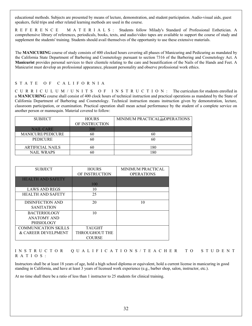educational methods. Subjects are presented by means of lecture, demonstration, and student participation. Audio-visual aids, guest speakers, field trips and other related learning methods are used in the course.

REFERENCE MATERIA L S : Students follow Milady's Standard of Professional Esthetician. A comprehensive library of references, periodicals, books, texts, and audio/video tapes are available to support the course of study and supplement the students' training. Students should avail themselves of the opportunity to use these extensive materials.

The **MANICURING** course of study consists of 400 clocked hours covering all phases of Manicuring and Pedicuring as mandated by the California State Department of Barbering and Cosmetology pursuant to section 7316 of the Barbering and Cosmetology Act. A **Manicurist** provides personal services to their clientele relating to the care and beautification of the Nails of the Hands and Feet. A Manicurist must develop an professional appearance, pleasant personality and observe professional work ethics.

## STATE OF CALIFORNIA

CURRICULUM / UNITS OF INSTRUCTION: The curriculum for students enrolled in a **MANICURING** course shall consist of 400 clock hours of technical instruction and practical operations as mandated by the State of California Department of Barbering and Cosmetology. Technical instruction means instruction given by demonstration, lecture, classroom participation, or examination. Practical operation shall mean actual performance by the student of a complete service on another person or mannequin. Material covered to follow:

| <b>SUBJECT</b>          | <b>HOURS</b>   | MINIMUM PRACTICAL EPOPERATIONS |
|-------------------------|----------------|--------------------------------|
|                         | OF INSTRUCTION |                                |
| <b>NAIL CARE</b>        | 300            |                                |
| MANICURE/PEDICURE       | 60             | 60                             |
| <b>PEDICURE</b>         | 60             | 60                             |
|                         |                |                                |
| <b>ARTIFICIAL NAILS</b> | 60             | 180                            |
| <b>NAIL WRAPS</b>       | 60             |                                |

| <b>SUBJECT</b>           | <b>HOURS</b>   | <b>MINIMUM PRACTICAL</b> |
|--------------------------|----------------|--------------------------|
|                          | OF INSTRUCTION | <b>OPERATIONS</b>        |
| <b>HEALTH AND SAFETY</b> |                |                          |
|                          | 100            |                          |
| <b>LAWS AND REGS</b>     | 10             |                          |
| <b>HEALTH AND SAFETY</b> | 25             |                          |
| DISINFECTION AND         | 20             | 10                       |
| <b>SANITATION</b>        |                |                          |
| <b>BACTERIOLOGY</b>      | 10             |                          |
| <b>ANATOMY AND</b>       |                |                          |
| PHISIOLOGY               |                |                          |
| COMMUNICATION SKILLS     | <b>TAUGHT</b>  |                          |
| & CAREER DEVELPMENT      | THROUGHOUT THE |                          |
|                          | <b>COURSE</b>  |                          |

INSTRUCTOR QUALIFICATIONS/TEACHER TO STUDENT RATIOS:

Instructors shall be at least 18 years of age, hold a high school diploma or equivalent, hold a current license in manicuring in good standing in California, and have at least 3 years of licensed work experience (e.g., barber shop, salon, instructor, etc.).

At no time shall there be a ratio of less than 1 instructor to 25 students for clinical training.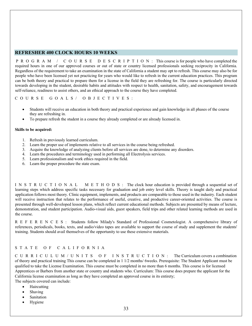## **REFRESHER 400 CLOCK HOURS 10 WEEKS**

PROGRAM / COURSE DESCRIPTION: This course is for people who have completed the required hours in one of our approved courses or out of state or country licensed professionals seeking reciprocity in California. Regardless of the requirement to take an examination in the state of California a student may opt to refresh. This course may also be for people who have been licensed yet not practicing for years who would like to refresh in the current education practices. This program can be both theory and practical to prepare them for a license in the field they are refreshing for. The course is particularly directed towards developing in the student, desirable habits and attitudes with respect to health, sanitation, safety, and encouragement towards self-reliance, readiness to assist others, and an ethical approach to the course they have completed.

COURSE GOALS/ OBJECTIVES:

- Students will receive an education in both theory and practical experience and gain knowledge in all phases of the course they are refreshing in.
- To prepare refresh the student in a course they already completed or are already licensed in.

#### **Skills to be acquired:**

- 1. Refresh in previously learned curriculum.
- 2. Learn the proper use of implements relative to all services in the course being refreshed.
- 3. Acquire the knowledge of analyzing clients before all services are done, to determine any disorders.
- 4. Learn the procedures and terminology used in performing all Electrolysis services.
- 5. Learn professionalism and work ethics required in the field.
- 6. Learn the proper procedure the state exam.

INSTRUCTIONAL METHODS: The clock hour education is provided through a sequential set of learning steps which address specific tasks necessary for graduation and job entry level skills. Theory is taught daily and practical application follows most theory. Clinic equipment, implements, and products are comparable to those used in the industry. Each student will receive instruction that relates to the performance of useful, creative, and productive career-oriented activities. The course is presented through well-developed lesson plans, which reflect current educational methods. Subjects are presented by means of lecture, demonstration, and student participation. Audio-visual aids, guest speakers, field trips and other related learning methods are used in the course.

REFERENCES: Students follow Milady's Standard of Professional Cosmetologist. A comprehensive library of references, periodicals, books, texts, and audio/video tapes are available to support the course of study and supplement the students' training. Students should avail themselves of the opportunity to use these extensive materials.

## STATE OF CALIFORNIA

CURRICULUM / UNITS O F INSTRUCTION: The Curriculum covers a combination of theory and practical training This course can be completed in 1 1/2 months/ 6weeks. Prerequisite: The Student Applicant must be qualified to take the License Examination. This course must be completed in no more than 6 months. This course is for licensed Apprentices or Barbers from another state or country and students who. Curriculum: This course does prepare the applicant for the California license examination as long as they have completed an approved course in its entirety; The subjects covered can include:

- **Haircutting** 
	- **Shaving**
	- **Sanitation**
	- **Hygiene**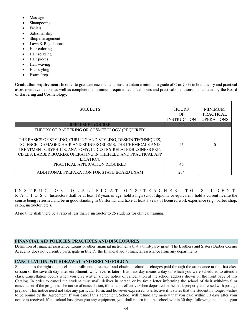- Massage
- Shampooing
- Facials
- Salesmanship
- Shop management
- Laws & Regulations
- Hair coloring
- Hair relaxing
- Hair pieces
- Hair waving
- Hair styling
- Exam Prep

**Graduation requirement:** In order to graduate each student must maintain a minimum grade of C or 70 % in both theory and practical assessment evaluations as well as complete the minimum required technical hours and practical operations as mandated by the Board of Barbering and Cosmetology.

| <b>SUBJECTS</b>                                                                                                                                                                                                                                                                                                              | <b>HOURS</b><br>OF<br><b>INSTRUCTION</b> | <b>MINIMUM</b><br><b>PRACTICAL</b><br><b>OPERATIONS</b> |
|------------------------------------------------------------------------------------------------------------------------------------------------------------------------------------------------------------------------------------------------------------------------------------------------------------------------------|------------------------------------------|---------------------------------------------------------|
| <b>REFRESHER COURSE</b>                                                                                                                                                                                                                                                                                                      | 400                                      |                                                         |
| THEORY OF BARTERING OR COSMETOLOGY (REQUIRED)<br>THE BASICS OF STYLING, CURLING AND STYLING, DESIGN TECHNIQUES,<br>SCIENCE, DAMAGED HAIR AND SKIN PROBLEMS, THE CHEMICALS AND<br>TREATMENTS, SYPHILIS, ANATOMY, INDUSTRY RELATEDBUSINESS PRIN<br>CIPLES, BARBER BOARDS. OPERATING IN THEFIELD AND PRACTICAL APP<br>LICATION. | 46                                       | 0                                                       |
| PRACTICAL APPLICATION REQUIRED                                                                                                                                                                                                                                                                                               | 46                                       |                                                         |
| ADDITIONAL PREPARATION FOR STATE BOARD EXAM                                                                                                                                                                                                                                                                                  | 274                                      |                                                         |

INSTRUCTOR QUALIFICATIONS/TEACHER TO STUDENT R A T I O S : Instructors shall be at least 18 years of age, hold a high school diploma or equivalent, hold a current license the course being refreshed and be in good standing in California, and have at least 3 years of licensed work experience (e.g., barber shop, salon, instructor, etc.).

At no time shall there be a ratio of less than 1 instructor to 25 students for clinical training.

#### **FINANCIAL AID POLICIES, PRACTICES AND DISCLOSURES**

Definition of financial assistance: Loans or other financial instruments that a third-party grant. The Brothers and Sisters Barber Cosmo Academy does not currently participate in title IV the financial aid a financial assistance from any departments.

#### **CANCELATION, WITHDRAWAL AND REFUND POLICY**

Students has the right to cancel the enrollment agreement and obtain a refund of charges paid through the attendance at the first class session or the seventh day after enrollment, whichever is later. Business day means a day on which you were scheduled to attend a class. Cancellation occurs when you give written signed notice of cancellation at the school address shown on the front page of this Catalog. In order to cancel the student must mail, deliver in person or by fax a letter informing the school of their withdrawal or cancelation of the program. The notice of cancellation, if mailed is effective when deposited in the mail, properly addressed with postage prepaid. This notice need not take any particular form, and however expressed, is effective if it states that the student no longer wishes to be bound by the Agreement. If you cancel this agreement, School will refund any money that you paid within 30 days after your notice is received. If the school has given you any equipment, you shall return it to the school within 30 days following the date of your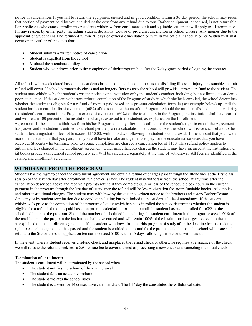notice of cancellation. If you fail to return the equipment unused and in good condition within a 30-day period, the school may retain that portion of payment paid by you and deduct the cost from any refund due to you. Barber equipment, once used, is not returnable. For Applicants who cancel enrollment or students withdraw from enrollment a fair and equitable settlement will apply to all terminations for any reason, by either party, including Student decisions, Course or program cancellation or school closure. Any monies due to the applicant or Student shall be refunded within 30 days of official cancellation or with drawl official cancellation or Withdrawal shall occur on the earlier of the dates that:

- Student submits a written notice of cancelation
- Student is expelled from the school
- Violated the attendance policy
- Student who withdraws prior to the completion of their program but after the 7-day grace period of signing the contract

All refunds will be calculated based on the students last date of attendance. In the case of disabling illness or injury a reasonable and fair refund will occur. If school permanently closes and no longer offers courses the school will provide a pro-rata refund to the student. The student may withdraw by the student's written notice to the institution or by the student's conduct, including, but not limited to student's poor attendance. If the student withdraws prior to completion of the Program of study in which she/he is enrolled, the school determines whether the student is eligible for a refund of monies paid based on a pro-rata calculation formula (see example below) up until the student has been enrolled for sixty percent (60%) of the scheduled hours of the Program. Should the number of scheduled hours during the student's enrollment in the Program exceed sixty percent (60%) of the total hours in the Program, the institution shall have earned and will retain 100 percent of the institutional charges assessed to the student, as explained on the Enrollment Agreement. If the student withdraws from his/her Program of study after the deadline for the student's right to cancel the Agreement has passed and the student is entitled to a refund per the pro rata calculation mentioned above, the school will issue such refund to the student, less a registration fee not to exceed \$150.00, within 30 days following the student's withdrawal. If the amount that you owe is more than the amount that you paid, then you will have to make arrangements to pay for the educational services that you have received. Students who terminate prior to course completion are charged a cancelation fee of \$150. This refund policy applies to tuition and fees charged in the enrollment agreement. Other miscellaneous charges the student may have incurred at the institution i.e. kit books products unreturned school property act. Will be calculated separately at the time of withdrawal. All fees are identified in the catalog and enrollment agreement.

## **WITHDRAWL FROM THE PROGRAM**

Students has the right to cancel the enrollment agreement and obtain a refund of charges paid through the attendance at the first class session or the seventh day after enrollment, whichever is later. The student may withdraw from the school at any time after the cancellation described above and receive a pro rata refund if they complete 60% or less of the schedule clock hours in the current payment in the program through the last day of attendance the refund will be less registration fee, nonrefundable books and supplies, and other institutional charges. The student may withdraw by the students written notice to the brothers and sisters Barber Cosmo Academy or by student termination due to conduct including but not limited to the student's lack-of attendance. If the student withdrawals prior to the completion of the program of study which he/she is in rolled the school determines whether the student is eligible for a refund of monies paid based on pro rata calculation formula up until the student has been enrolled for  $60\%$  of the scheduled hours of the program. Should the number of scheduled hours during the student enrollment in the program exceeds 60% of the total hours of the program the institution shall have earned and will retain 100% of the institutional charges assessed to the student as explained on the enrollment agreement. If the student withdraws from her/his program of study after the deadline for the students right to cancel the agreement has passed and the student is entitled to a refund for the pro rata calculations, the school will issue such refund to the Student less an application fee not to exceed \$100 within 45 days following the students withdrawal.

In the event where a student receives a refund check and misplaces the refund check or otherwise requires a reissuance of the check, we will reissue the refund check less a \$50 reissue fee to cover the cost of processing a new check and canceling the initial check.

## **Termination of enrollment:**

The student's enrollment will be terminated by the school when

- The student notifies the school of their withdrawal
- The student fails an academic probation
- The student violates the school rules
- The student is absent for 14 consecutive calendar days. The 14<sup>th</sup> day the constitutes the withdrawal date.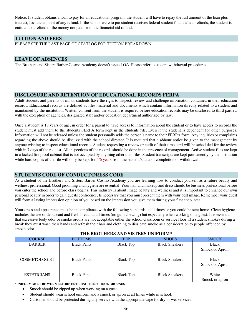Notice: If student obtains a loan to pay for an educational program, the student will have to repay the full amount of the loan plus interest, less the amount of any refund. If the school were to par student receives federal student financial aid refunds, the student is entitled to a refund of the money not paid from the financial aid refund.

## **TUITION AND FEES**

PLEASE SEE THE LAST PAGE OF CTATLOG FOR TUITION BREAKDOWN

## **LEAVE OF ABSENCES**

The Brothers and Sisters Barber Cosmo Academy doesn't issue LOA. Please refer to student withdrawal procedures.

## **DISCLOSURE AND RETENTION OF EDUCATIONAL RECORDS FERPA**

Adult students and parents of minor students have the right to inspect; review and challenge information contained in their education records. Educational records are defined as files, material and documents which contain information directly related to a student and maintained by the institution. Written consent from the student is required before education records may be disclosed to third parties, with the exception of agencies, designated staff and/or education department authorized by law.

Once a student is 18 years of age, in order for a parent to have access to information about the student or to have access to records the student must add them to the students FERPA form kept in the students file. Even if the student is dependent for other purposes. Information will not be released unless the student personally adds the person's name to their FERPA form. Any inquiries or complaints regarding the above should be discussed with the school director. It is required that a 48hour notice be given to the management by anyone wishing to inspect educational records. Student requesting a review or audit of their time card will be scheduled for the review with in 7 days of the request. All inspections of the records should be done in the presence of management. Active student files are kept in a locked fire proof cabinet that is not occupied by anything other than files. Student transcripts are kept permanently by the institution while hard copies of the file will only be kept for 5/6 years from the student's date of completion or withdrawal.

## **STUDENTS CODE OF CONDUCT/DRESS CODE**

As a student of the Brothers and Sisters Barber Cosmo Academy you are learning how to conduct yourself as a future beauty and wellness professional. Good grooming and hygiene are essential. Your hair and makeup and dress should be business professional before you enter the school and before class begins. This industry is about image beauty and wellness and it is important to enhance our own personal beauty in order to gain guests confidence. Is necessary that you must present them with your best image. Remember your guest will form a lasting impression opinion of you based on the impression you give them during your first encounter.

Your dress and appearance must be in compliance with the following standards at all times or you could be sent home. Clean hygiene includes the use of deodorant and fresh breath at all times (no gum chewing) but especially when working on a guest. It is essential that excessive body odor or smoke ordors are not acceptable either the school classroom or service floor. If a student smokes during a break they must wash their hands and refresh their hair and clothing to dissipate smoke as a consideration to people offended by smoke odor.

| <b>COURSE</b>        | <b>BOTTOMS</b>     | TOP              | <b>SHOES</b>          | <b>SMOCK</b>   |
|----------------------|--------------------|------------------|-----------------------|----------------|
| <b>BARBER</b>        | <b>Black Pants</b> | <b>Black Top</b> | <b>Black Sneakers</b> | Black          |
|                      |                    |                  |                       | Smock or Apron |
|                      |                    |                  |                       |                |
| <b>COSMETOLOGIST</b> | <b>Black Pants</b> | <b>Black Top</b> | <b>Black Sneakers</b> | Black          |
|                      |                    |                  |                       | Smock or Apron |
|                      |                    |                  |                       |                |
| <b>ESTETICIANS</b>   | <b>Black Pants</b> | <b>Black Top</b> | <b>Black Sneakers</b> | White          |
|                      |                    |                  |                       | Smock or apron |

#### **THE BROTHERS AND SISTERS UNIFORM\***

**\*UNIFORM MUST BE WORN BEFORE ENTERING THE SCHOOL GROUNDS**

- Smock should be zipped up when working on a guest
- Student should wear school uniform and a smock or apron at all times while in school.
- Customer should be protected during any service with the appropriate cape for dry or wet services.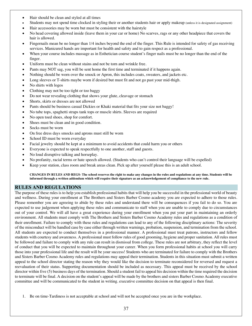- Hair should be clean and styled at all times
- Students may not spend time clocked in styling their or another students hair or apply makeup (unless it is designated assignment)
- Hair accessories may be worn but must be consistent with the hairstyle
- No head covering allowed inside (leave them in your car or home) No scarves, rags or any other headpiece that covers the hair is allowed.
- Fingernails mean be no longer than 1/4 inches beyond the end of the finger. This Rule is intended for safety of gas receiving services. Manicured hands are important for health and safety and to gain respect as a professional.
- When your course includes massage as in Esthetician course student's finger nails must be no longer than the end of the finger.
- Uniform must be clean without stains and not be torn and wrinkle free.
- Pants may NOT sag, you will be sent home the first time and terminated if it happens again.
- Nothing should be worn over the smock or Apron, this includes coats, sweaters, and jackets etc.
- Long sleeves or T-shirts maybe worn if desired but must fit and not go past your mid-thigh.
- No shirts with logos
- Clothing may not be too tight or too baggy
- Do not wear revealing clothing that shows your glute, cleavage or stomach
- Shorts, skirts or dresses are not allowed
- Pants should be business casual Dickies or Khaki material that fits your size not baggy!
- No tube tops, spaghetti straps tank tops or muscle shirts. Sleeves are required
- No open toed shoes, shop for comfort.
- Shoes must be clean and in good condition.
- Socks must be worn
- On free dress days smocks and aprons must still be worn
- School ID must be worn everyday
- Facial jewelry should be kept at a minimum to avoid accidents that could harm you or others
- Everyone is expected to speak respectfully to one another, staff and guests.
- No loud disruptive talking and horseplay.
- No profanity, racial terms or hate speech allowed. (Students who can't control their language will be expelled)
- Keep your station, class room and break areas clean. Pick up after yourself please this is an adult school.

**CHANGES IN RULES AND REGS- The school reserves the right to make any changes in the rules and regulations at any time. Students will be informed through a written addendum which will require their signature as an acknowledgement of compliance to the new rule.**

#### **RULES AND REGULATIONS**

The purpose of these rules is to help you establish professional habits that will help you be successful in the professional world of beauty and wellness. During your enrollment at The Brothers and Sisters Barber Cosmo academy you are expected to adhere to those rules. Please remember you are agreeing to abide by these rules and understand there will be consequences if you fail to do so. You are expected to use judgement when applying these rules and communicate to staff when you are unable to comply due to circumstances out of your control. We will all have a great experience during your enrollment when you put your part in maintaining an orderly environment. All students must comply with The Brothers and Sisters Barber Cosmo Academy rules and regulations as a condition of their enrollment. Failure to comply with these rules and regulations can lead to any of the following disciplinary actions: The severity of the misconduct will be handled case by case either through written warnings, probation, suspension, and termination from the school. All students are expected to conduct themselves in a professional manner. A professional must treat patrons, instructors and fellow students with courtesy and awareness. A professional must follow rules of good grooming, hygiene and proper sanitation. All rules must be followed and failure to comply with any rule can result in dismissal from college. These rules are not arbitrary, they reflect the level of conduct that you will be expected to maintain throughout your career. When you form professional habits at school you will carry those into your professional life and the result will be your success! Students who are terminated for failure to comply with the Brothers and Sisters Barber Cosmo Academy rules and regulations may appeal their termination. Students in this situation must submit a written appeal to the school director stating the reason why they would like the decision to terminate reconsidered for reversed and request a reevaluation of their status. Supporting documentation should be included as necessary. This appeal must be received by the school director within five (5) business days of the termination. Should a student fail to appeal his decision within the time required the decision to terminate will be final. A decision on the student's appeal will be made by the brothers and sisters Barber Cosmo Academy executive committee and will be communicated to the student in writing. executive committee decision on that appeal is then final.

<sup>1.</sup> Be on time-Tardiness is not acceptable at school and will not be accepted once you are in the workplace.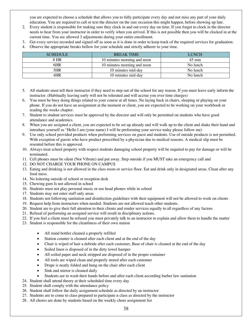you are expected to choose a schedule that allows you to fully participate every day and not miss any part of your daily education. You are required to call or text the director on the rare occasion this might happen, before showing up late.

- 2. Every student is responsible for making sure they clock in and out every day on time. If you forget to clock in the director needs to hear from your instructor in order to verify when you arrived. If this is not possible then you will be clocked in at the current time. You are allowed 3 adjustments during your entire enrollment.
- 3. Get every service recorded and signed off as soon as it is done in order to keep track of the required services for graduation.
- 4. Observe the appropriate breaks bellow for your schedule and strictly adherer to your time.

| <b>SCHEDULE</b> | <b>BREAK TIME</b>           | <b>LUNCH</b>     |
|-----------------|-----------------------------|------------------|
| 8 HR            | 10 minutes morning and noon | $45 \text{ min}$ |
| 6HR             | 10 minutes morning and noon | No lunch         |
| 5HR             | 10 minutes mid-day          | No lunch         |
| 4HR             | 10 minutes mid-day          | No lunch         |

- 5. All students must tell their instructor if they need to step out of the school for any reason. If you must leave early inform the instructor. (Habitually leaving early will not be tolerated and will accrue you over time charges)
- 6. You must be busy doing things related to your course at all times. No laying back in chairs, sleeping or playing on your phone. If you do not have an assignment at the moment or client, you are expected to be working on your workbook or reading the weeks chapter.
- 7. Student to student services must be approved by the director and will only be permitted on students who have good attendance and academics.
- 8. When you are assigned a client, you are expected to be set up already and will walk up to the client and shake their hand and introduce yourself as "Hello I am (your name) I will be preforming your service today please follow me)
- 9. Use only school provided products when preforming services on guest and students. Use of outside products is not permitted. With exception of guests who have product prescribed by a physician due to medical reasons. A medical slip must be resented before this is approved.
- 10. Always treat school property with respect students damaging school property will be required to pay for damage or will be terminated.
- 11. Cell phones must be silent (Not Vibrate) and put away. Step outside if you MUST take an emergency call and
- 12. DO NOT CHARGE YOUR PHONE ON CAMPUS
- 13. Eating and drinking is not allowed in the class room or service floor. Eat and drink only in designated areas. Clean after any food mess.
- 14. No loitering outside of school or reception desk
- 15. Chewing gum Is not allowed in school
- 16. Students must not play personal music or use head phones while in school
- 17. Students may not enter staff only areas
- 18. Students not following sanitation and disinfection guidelines with their equipment will not be allowed to work on clients
- 19. Request help from instructors when needed. Students are not allowed teach other students.
- 20. Student are to give their full attention to their clients and render services equally to all regardless of any factors
- 21. Refusal of performing an assigned service will result in disciplinary actions.
- 22. If you feel a client must be refused you must privately talk to an instructor to explain and allow them to handle the matter
- 23. Student is responsible for the cleanliness of their own station
	- All stand bottler cleaned a properly refilled
	- Station counter is cleaned after each client and at the end of the day
	- Chair is wiped of hair a debride after each customer, Base of chair is cleaned at the end of the day
	- Soiled linen is disposed of in the dirty towel hamper
	- All soiled paper and neck stripped are disposed of in the proper container
	- All tools are wiped clean and properly stored after each customer
	- Drape is neatly folded and hung on the chair after each client
	- Sink and mirror is cleaned daily
	- Students are to wash their hands before and after each client according barber law sanitation
- 24. Student shall attend theory at their scheduled time every day
- 25. Student shall comply with the attendance policy
- 26. Student shall follow the daily assignment schedule as directed by an instructor
- 27. Students are to come to class prepared to participate n class as directed by the instructor
- 28. All chores are done by students based on the weekly chore assignment list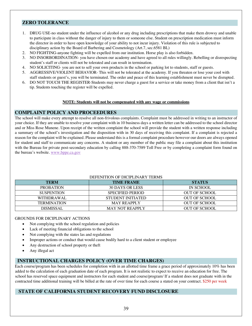## **ZERO TOLERANCE**

- 1. DRUG USE-no student under the influence of alcohol or any drug including prescriptions that make them drowsy and unable to participate in class without the danger of injury to them or someone else. Student on prescription medication must inform the director in order to have open knowledge of your ability to not incur injury. Violation of this rule is subjected to disciplinary action by the Board of Barbering and Cosmetology (Art.7, sec.6581 BL)
- 2. NO FIGHTING-anyone fighting will be expelled from our institution. Horse play is also forbidden.
- 3. NO INSORBORDINATION- you have chosen our academy and have agreed to all rules willingly. Rebelling or disrespecting student's staff or clients will not be tolerated and can result in termination.
- 4. NO SOLICITING- you are not to sell your own products in the school or parking lot to students, staff or guests.
- 5. AGGRESSIVE/VIOLENT BEHAVIOR- This will not be tolerated at the academy. If you threaten or lose your cool with staff students or guest's, you will be terminated. The order and peace of this learning establishment must never be disrupted.
- 6. DO NOT TOUCH THE REGISTER-Students may never charge a guest for a service or take money from a client that isn't a tip. Students touching the register will be expelled.

#### **NOTE: Students will not be compensated with any wage or commissions**

#### **COMPLAINT POLICY AND PROCEEDURES**

The school will make every attempt to resolve all non-frivolous complaints. Complaint must be addressed in writing to an instructor of your choice. If they are unable to resolve your complaint with in 10 business days a written letter can be addressed to the school director and or Miss Rose Munene. Upon receipt of the written complaint the school will provide the student with a written response including a summary of the school's investigation and the disposition with in 30 days of receiving this complaint. If a complaint is rejected a reason for the complaint will be explained. Please understand this is a formal complaint procedure however our doors are always opened for student and staff to communicate any concerns. A student or any member of the public may file a complaint about this institution with the Bureau for private post-secondary education by calling 888-370-7589 Toll Free or by completing a complaint form found on the bureau's website. www.bppe.ca.gov

| <b>TERM</b>        | <b>TIME FRAME</b>       | <b>STATUS</b>        |
|--------------------|-------------------------|----------------------|
| <b>PROBATION</b>   | 30 DAYS OR LESS         | IN SCHOOL            |
| <b>SUSPENTION</b>  | <b>SPECIFIED PERIOD</b> | <b>OUT OF SCHOOL</b> |
| WITHDRAWAL         | STUDENT INITIATED       | <b>OUT OF SCHOOL</b> |
| <b>TERMINATION</b> | <b>MAY REAPPLY</b>      | <b>OUT OF SCHOOL</b> |
| DISMISSAL          | <b>MAY NOT REAPPLY</b>  | OUT OF SCHOOL        |

#### DEFENITION OF DICIDI IN A B V TERMS

#### GROUNDS FOR DICIPLINARY ACTIONS

- Not complying with the school regulation and policies
- Lack of meeting financial obligations to the school
- Not complying with the states las and regulations
- Improper actions or conduct that would cause bodily hard to a client student or employee
- Any destruction of school property or theft
- Any illegal act

## **INSTRUCTIONAL CHARGES POLICY (OVER TIME CHARGES)**

Each course/program has been schedules for completion with in an allotted time frame a grace period of approximately 10% has been added to the calculation of each graduation date of each program. It is not realistic to expect to receive an education for free. The school has reserved space equipment and instructors for each student and course/program/ If a student does not graduate with in the contracted time additional training will be billed at the rate of over time for each course a stated on your contract. \$250 per week

## **STATE OF CALIFORNIA STUDENT RECOVERY FUND DISCLOSURE**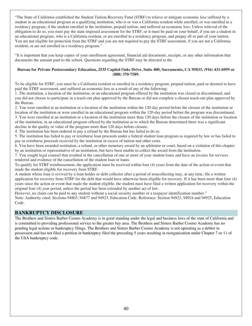"The State of California established the Student Tuition Recovery Fund (STRF) to relieve or mitigate economic loss suffered by a student in an educational program at a qualifying institution, who is or was a California resident while enrolled, or was enrolled in a residency program, if the student enrolled in the institution, prepaid tuition, and suffered an economic loss. Unless relieved of the obligation to do so, you must pay the state-imposed assessment for the STRF, or it must be paid on your behalf, if you are a student in an educational program, who is a California resident, or are enrolled in a residency program, and prepay all or part of your tuition. You are not eligible for protection from the STRF and you are not required to pay the STRF assessment, if you are not a California resident, or are not enrolled in a residency program."

"It is important that you keep copies of your enrollment agreement, financial aid documents, receipts, or any other information that documents the amount paid to the school. Questions regarding the STRF may be directed to the

#### **Bureau for Private Postsecondary Education, 2535 Capitol Oaks Drive, Suite 400, Sacramento, CA 95833, (916) 431-6959 or (888) 370-7589.**

To be eligible for STRF, you must be a California resident or enrolled in a residency program, prepaid tuition, paid or deemed to have paid the STRF assessment, and suffered an economic loss as a result of any of the following:

1. The institution, a location of the institution, or an educational program offered by the institution was closed or discontinued, and you did not choose to participate in a teach-out plan approved by the Bureau or did not complete a chosen teach-out plan approved by the Bureau.

2. You were enrolled at an institution or a location of the institution within the 120-day period before the closure of the institution or location of the institution or were enrolled in an educational program within the 120-day period before the program was discontinued. 3. You were enrolled at an institution or a location of the institution more than 120 days before the closure of the institution or location of the institution, in an educational program offered by the institution as to which the Bureau determined there was a significant decline in the quality or value of the program more than 120 days before closure.

4. The institution has been ordered to pay a refund by the Bureau but has failed to do so.

5. The institution has failed to pay or reimburse loan proceeds under a federal student loan program as required by law or has failed to pay or reimburse proceeds received by the institution in excess of tuition and other costs.

6. You have been awarded restitution, a refund, or other monetary award by an arbitrator or court, based on a violation of this chapter by an institution or representative of an institution, but have been unable to collect the award from the institution.

7. You sought legal counsel that resulted in the cancellation of one or more of your student loans and have an invoice for services rendered and evidence of the cancellation of the student loan or loans.

To qualify for STRF reimbursement, the application must be received within four (4) years from the date of the action or event that made the student eligible for recovery from STRF.

A student whose loan is revived by a loan holder or debt collector after a period of noncollecting may, at any time, file a written application for recovery from STRF for the debt that would have otherwise been eligible for recovery. If it has been more than four (4) years since the action or event that made the student eligible, the student must have filed a written application for recovery within the original four (4) year period, unless the period has been extended by another act of law.

However, no claim can be paid to any student without a social security number or a taxpayer identification number." Note: Authority cited: Sections 94803, 94877 and 94923, Education Code. Reference: Section 94923, 94924 and 94925, Education Code.

## **BANKRUPTCY DISCLOSURE**

The Brothers and Sisters Barber Cosmo Academy is in good standing under the legal and business laws of the state of California and is committed to providing professional service to the greater bay area. The Brothers and Sisters Barber Cosmo Academy has no pending legal actions or bankruptcy filings. The Brothers and Sisters Barber Cosmo Academy is not operating as a debtor in possession and has not filed a petition in bankruptcy filed the preceding 5 years resulting in reorganization under Chapter 7 or 11 of the USA bankruptcy code.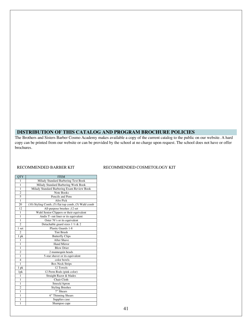## **DISTRIBUTION OF THIS CATALOG AND PROGRAM BROCHURE POLICIES**

The Brothers and Sisters Barber Cosmo Academy makes available a copy of the current catalog to the public on our website. A hard copy can be printed from our website or can be provided by the school at no charge upon request. The school does not have or offer brochures.

| <b>QTY</b>     | <b>ITEM</b>                                         |
|----------------|-----------------------------------------------------|
| 1              | Milady Standard Barbering Text Book                 |
| 1              | Milady Standard Barbering Work Book                 |
| $\mathbf{1}$   | Milady Standard Barbering Exam Review Book          |
| $\overline{2}$ | Note Books                                          |
| 5              | Pencils and Pens                                    |
| $\overline{1}$ | Afro Pick                                           |
| 20             | (10) Styling Comb, (5) flat top comb, (5) Wahl comb |
| 12             | All-purpose brushes ;12 set                         |
| $\mathbf{1}$   | Wahl Senior Clippers or their equivalent            |
| 1              | Andis T- out liner or its equivalent                |
| $\mathbf{1}$   | Oster 76's or its equivalent                        |
| $\overline{2}$ | Detachable guard sizes $\frac{1}{2}$ & 2            |
| 1 set          | Plastic Guards 1-8                                  |
| $\overline{c}$ | <b>Tint Brush</b>                                   |
| 1 pk           | <b>Butterfly Clips</b>                              |
| 1              | After Shave                                         |
| 1              | <b>Hand Mirror</b>                                  |
| 1              | <b>Blow Drier</b>                                   |
| $\overline{c}$ | 2 mannequin heads                                   |
| $\mathbf{1}$   | 5-star shaver or its equivalent                     |
| $\overline{4}$ | color bowls                                         |
| 1              | <b>Box Neck Strips</b>                              |
| 1 pk           | 12 Towels                                           |
| 1pk            | 12 Perm Rods (pink color)                           |
| 1              | Straight Razor & blades                             |
| 1              | Chair Cloth                                         |
| 1              | Smock/Apron                                         |
| $\overline{2}$ | <b>Styling Brushes</b>                              |
| $\overline{1}$ | 7" Shears                                           |
| $\mathbf{1}$   | 6" Thinning Shears                                  |
| 1              | Supplies case                                       |
| 1              | Shampoo cape                                        |

#### RECOMMENDED BARBER KIT RECOMMENDED COSMETOLOGY KIT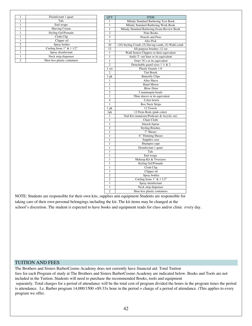|                | Disinfectant 1 quart         |  |  |
|----------------|------------------------------|--|--|
|                | Talc                         |  |  |
|                | End wraps                    |  |  |
|                | Shaving Cream                |  |  |
|                | <b>Styling Gel/Pomade</b>    |  |  |
|                | Cloth Clip                   |  |  |
|                | Clipper oil                  |  |  |
| $\overline{c}$ | Spray bottles                |  |  |
| 2              | Curling Irons $1"$ & $11/2"$ |  |  |
|                | Spray disinfectant           |  |  |
|                | Neck strip dispenser         |  |  |
| 2              | Shoe box plastic containers  |  |  |

| <b>QTY</b>     | <b>ITEM</b>                                         |  |  |  |
|----------------|-----------------------------------------------------|--|--|--|
| 1              | Milady Standard Barbering Text Book                 |  |  |  |
| 1              | Milady Standard Barbering Work Book                 |  |  |  |
| $\mathbf{1}$   | Milady Standard Barbering Exam Review Book          |  |  |  |
| $\overline{2}$ | Note Books                                          |  |  |  |
| 5              | Pencils and Pens                                    |  |  |  |
| $\mathbf{1}$   | Afro Pick                                           |  |  |  |
| 20             | (10) Styling Comb, (5) flat top comb, (5) Wahl comb |  |  |  |
| 12             | All-purpose brushes ;12 set                         |  |  |  |
| 1              | Wahl Senior Clippers or their equivalent            |  |  |  |
| $\overline{1}$ | Andis T- out liner or its equivalent                |  |  |  |
| $\mathbf{1}$   | Oster 76's or its equivalent                        |  |  |  |
| $\overline{2}$ | Detachable guard sizes 1 ½ & 2                      |  |  |  |
| 1 set          | Plastic Guards 1-8                                  |  |  |  |
| $\overline{2}$ | <b>Tint Brush</b>                                   |  |  |  |
| 1 pk           | <b>Butterfly Clips</b>                              |  |  |  |
| 1              | After Shave                                         |  |  |  |
| 1              | <b>Hand Mirror</b>                                  |  |  |  |
| 1              | <b>Blow Drier</b>                                   |  |  |  |
| $\overline{c}$ | 2 mannequin heads                                   |  |  |  |
| $\mathbf{1}$   | 5Star shaver or its equivalent                      |  |  |  |
| $\overline{4}$ | Color bowls                                         |  |  |  |
| $\mathbf{1}$   | <b>Box Neck Strips</b>                              |  |  |  |
| 1 pk           | 12 Towels                                           |  |  |  |
| 1pk            | 12 Perm Rods (pink color)                           |  |  |  |
| 1              | Nail Kit (manicure/Pedicure & Acrylic set)          |  |  |  |
| 1              | Chair Cloth                                         |  |  |  |
| 1              | Smock/Apron                                         |  |  |  |
| $\overline{2}$ | <b>Styling Brushes</b>                              |  |  |  |
| $\overline{1}$ | $7"$ Shears                                         |  |  |  |
| $\mathbf{1}$   | 6" Thinning Shears                                  |  |  |  |
| 1              | Supplies case                                       |  |  |  |
| $\mathbf{1}$   | Shampoo cape                                        |  |  |  |
| 1              | Disinfectant 1 quart                                |  |  |  |
| 1              | Talc                                                |  |  |  |
| 1              | End wraps                                           |  |  |  |
| $\mathbf{1}$   | Makeup Kit & Tweezers                               |  |  |  |
| 1              | <b>Styling Gel/Pomade</b>                           |  |  |  |
| 1              | Cloth Clip                                          |  |  |  |
| 1              | Clipper oil                                         |  |  |  |
| $\overline{2}$ | Spray bottles                                       |  |  |  |
| $\overline{2}$ | Curling Irons 1" & 1 1/2"                           |  |  |  |
| 1              | Spray disinfectant                                  |  |  |  |
| $\mathbf{1}$   | Neck strip dispenser                                |  |  |  |
| $\overline{c}$ | Shoe box plastic containers                         |  |  |  |

NOTE: Students are responsible for their own kits, supplies ami equipment Students are responsible for taking care of their own personal belongings including the kit. The kit items may be changed at the school's discretion. The student is expected to have books and equipment reads for class and/or clinic every day.

#### TUITION AND FEES

The Brothers and Sisters BarberCosmo Academy does not currently have financial aid. Total Tuition fees for each Program of study at The Brothers and Sisters BarberCosmo Academy are indicated below. Books and Tools are not included in the Tuition. Students will need to purchase the recommended Books, tools and equipment separately. Total charges for a period of attendance will be the total cost of program divided the hours in the program times the period is attendance. I.e. Barber program 14,000/1500 = \$9.33x hour in the period = charge of a period of attendance. (This applies to every program we offer.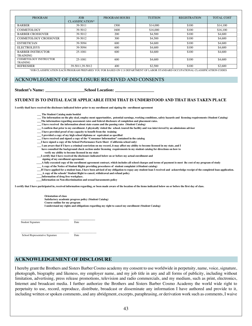| <b>PROGRAM</b>                              | <b>JOB</b><br>CLASSIFICATION* | PROGRAM HOURS | <b>TUITION</b> | <b>REGISTRATION</b> | <b>TOTAL COST</b> |
|---------------------------------------------|-------------------------------|---------------|----------------|---------------------|-------------------|
| <b>BARBER</b>                               | 39-5011                       | 1500          | \$14,000       | \$100               | \$14,100          |
| <b>COSMETOLOGY</b>                          | 39-5012                       | 1600          | \$16,000       | \$100               | \$16,100          |
| <b>BARBER CROSSOVER</b>                     | 39-5012                       | 200           | \$4,500        | \$100               | \$4,600           |
| <b>COSMETOLOGY CROSSOVER</b>                | 39-5012                       | 300           | \$4,500        | \$100               | \$4,600           |
| <b>ESTHETICIAN</b>                          | 39-5094                       | 600           | \$4,600        | \$100               | \$4,600           |
| <b>ELECTROLISYS</b>                         | 39-5094                       | 600           | \$4,600        | \$100               | \$4,600           |
| <b>BARBER INSTRUCTOR</b><br><b>TRAINING</b> | 25-1081                       | 600           | \$4,600        | \$100               | \$4,600           |
| <b>COSMETOLOGY INSTRUCTOR</b><br>TRAINING   | 25-1081                       | 600           | \$4,600        | \$100               | \$4,600           |
| <b>REFRESHER</b>                            | 39-5011.39-5012               | 400           | \$2,500        | \$100               | \$2,600           |

\*JOB CLASSIFICATION EACH PROGRAM PREPARES YOU FOR BASED ON U.S DEPARTMENT OF LABOR STANDARD OCCUPATIONAL CLASSIFICATIION CODES

## ACKNOWLEGMENT OF DISCLOSURE RECEIVED AND CONSENTS

| <b>Student's Name:</b> | <b>School</b> |
|------------------------|---------------|
|                        |               |

#### **STUDENT IS TO INITIAL EACH APPLICABLE ITEM THAT IS UNDERSTOOD AND THAT HAS TAKEN PLACE**

I certify thatI have received the disclosure indicated below prior to my enrollment and signing the enrollment agreement

- **\_\_\_ The Student Catalog main booklet**
- The information on the phy sical, employ ment opportunities, potential earnings, working conditions, safety hazards and licensing requirements (Student Catalog)
- **\_\_\_The information regarding assessment rates and federal disclosure of completion and placement rates.**
- **\_\_\_ I have received the information about state exams and the passing rates (Student Catalog)**
- I confirm that prior to my enrollment. I physically visited the school. toured the facility and was interviewed by an admissions advisor
- **\_\_\_ I have provided proof of my capacity to benefit from the training**
- **\_\_\_ I provided a copy of my high school diploma or equivalent as specified**
- **\_\_\_ I have received and signed a copy of the "Consumer Information" contained in the catalog**
- **\_\_\_I have signed a copy of the School Performance Facts Sheet (California school only)**
- I am aware that if I have a criminal conviction on my record, it may affect my ability to become licensed in my state, and I

Location:

- have consulted the background check section under licensing requirements in my student catalog for directions on how to
- **verify my ability to become licensed in my state \_\_\_I certify that I have received the disclosure indicated below on or before my actual enrollment and signing of my enrollment agreement:**
- A fully executed copy of the enrollment agreement contract, which includes all school charges and terms of payment io meet ihc cost of my program of study
- **\_\_\_ A copy of the Notice of Student Rights providing procedures of student complaint (s\Student catalog)**
- If I have applied for a student loan, I have been advised of my obligation to repay any student loan I received and acknowledge receipt of the completed loan application.  **\_\_\_\_A copy of the schools' Student Right to cancel, withdrawal and refund policy**
- **\_\_\_\_Information of drug free workplace.**
- **\_\_\_\_Information on Non-discrimination and sexual harassments policy**

I certify that I have participated in, received information regarding, or been made aware of the location of the items indicated below on or before the first day of class.

**Orientation of class Satisfactory academic progress policy (Student Catalog)**

**Course outline for my program**

**I understand my rights and obligations regarding my right to cancel my enrollment (Student Catalog)**

 **\_\_\_\_\_\_\_\_\_\_\_\_\_\_\_\_\_\_\_\_\_\_\_\_\_\_\_\_\_\_\_\_\_\_\_\_ \_\_\_\_\_\_\_\_\_\_\_\_\_\_\_\_** Student Signature Date

School Representative Signature Date

 $\frac{1}{2}$  ,  $\frac{1}{2}$  ,  $\frac{1}{2}$  ,  $\frac{1}{2}$  ,  $\frac{1}{2}$  ,  $\frac{1}{2}$  ,  $\frac{1}{2}$  ,  $\frac{1}{2}$  ,  $\frac{1}{2}$  ,  $\frac{1}{2}$  ,  $\frac{1}{2}$  ,  $\frac{1}{2}$  ,  $\frac{1}{2}$  ,  $\frac{1}{2}$  ,  $\frac{1}{2}$  ,  $\frac{1}{2}$  ,  $\frac{1}{2}$  ,  $\frac{1}{2}$  ,  $\frac{1$ 

## **ACKNOWLEDGEMENT OF DISCLOSURE**

I hereby grant the Brothers and Sisters Barber Cosmo academy my consent to use worldwide in perpetuity, name, voice, signature, photograph, biography and likeness, my employer name, and my job title in any and all forms of publicity, including without limitation, advertising, press release promotions, television and radio commercials, and my medium, such as print, electronics, Internet and broadcast media. I further authorize the Brothers and Sisters Barber Cosmo Academy the world wide right to perpetuity to use, record, reproduce, distribute, broadcast or disseminate any information I have authored and provide to it, including written or spoken comments, and any abridgment, excerpts, paraphrasing, or derivation work such as comments, I waive